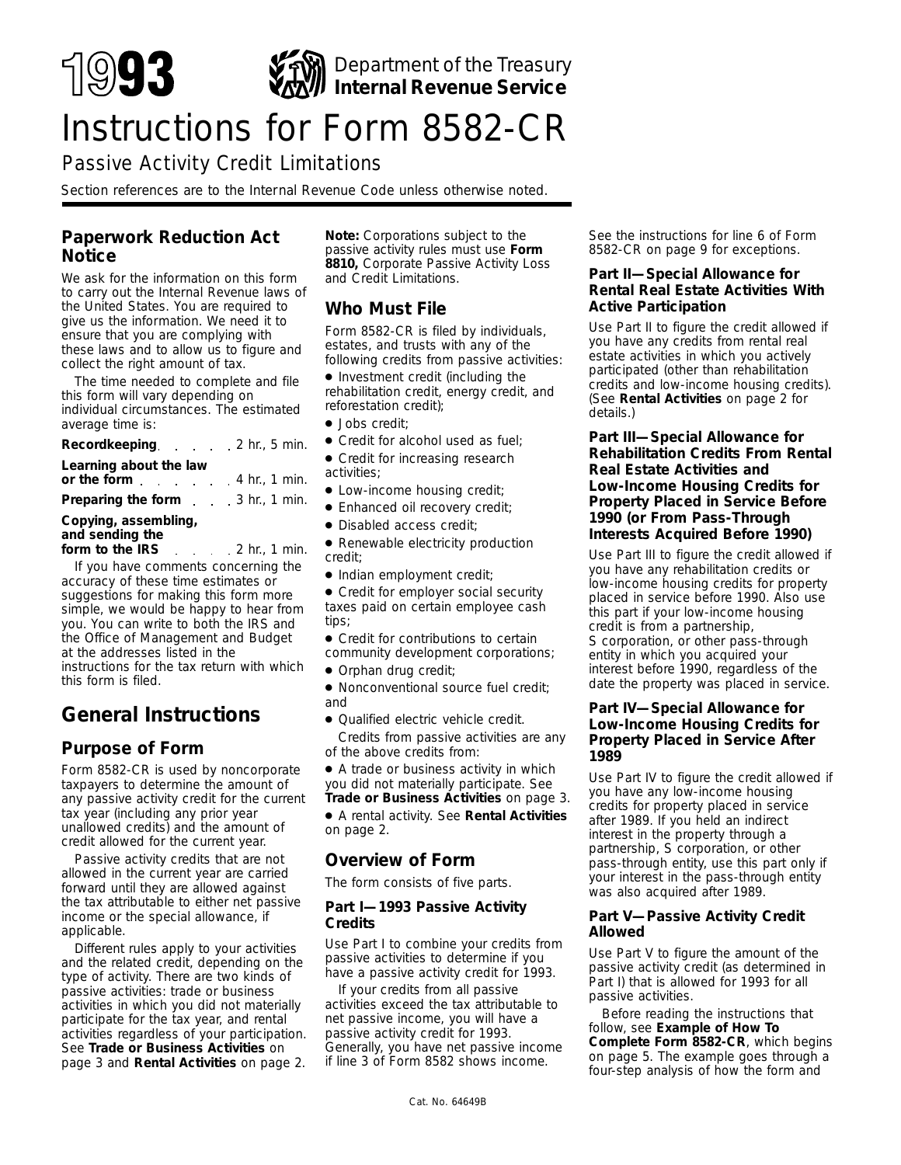

# Instructions for Form 8582-CR

# Passive Activity Credit Limitations

*Section references are to the Internal Revenue Code unless otherwise noted.*

# **Paperwork Reduction Act Notice**

We ask for the information on this form to carry out the Internal Revenue laws of the United States. You are required to give us the information. We need it to ensure that you are complying with these laws and to allow us to figure and collect the right amount of tax.

The time needed to complete and file this form will vary depending on individual circumstances. The estimated average time is:

| Recordkeeping. 2 hr., 5 min.                                 |  |  |  |
|--------------------------------------------------------------|--|--|--|
| Learning about the law<br>or the form $\ldots$ 4 hr., 1 min. |  |  |  |
| <b>Preparing the form</b> 3 hr., 1 min.                      |  |  |  |
| Copying, assembling,                                         |  |  |  |

# **and sending the**

**form to the IRS** 2 hr., 1 min. If you have comments concerning the accuracy of these time estimates or suggestions for making this form more simple, we would be happy to hear from you. You can write to both the IRS and the Office of Management and Budget at the addresses listed in the instructions for the tax return with which this form is filed.

# **General Instructions**

# **Purpose of Form**

Form 8582-CR is used by noncorporate taxpayers to determine the amount of any passive activity credit for the current tax year (including any prior year unallowed credits) and the amount of credit allowed for the current year.

Passive activity credits that are not allowed in the current year are carried forward until they are allowed against the tax attributable to either net passive income or the special allowance, if applicable.

Different rules apply to your activities and the related credit, depending on the type of activity. There are two kinds of passive activities: trade or business activities in which you did not materially participate for the tax year, and rental activities regardless of your participation. See **Trade or Business Activities** on page 3 and **Rental Activities** on page 2.

**Note:** *Corporations subject to the passive activity rules must use Form 8810, Corporate Passive Activity Loss and Credit Limitations.*

# **Who Must File**

Form 8582-CR is filed by individuals, estates, and trusts with any of the following credits from passive activities:

- Investment credit (including the rehabilitation credit, energy credit, and reforestation credit);
- Jobs credit;
- Credit for alcohol used as fuel:
- Credit for increasing research activities;
- Low-income housing credit;
- Enhanced oil recovery credit;
- Disabled access credit;

● Renewable electricity production credit;

● Indian employment credit;

● Credit for employer social security taxes paid on certain employee cash tips;

● Credit for contributions to certain community development corporations;

● Orphan drug credit;

● Nonconventional source fuel credit; and

● Qualified electric vehicle credit. Credits from passive activities are any of the above credits from:

● A trade or business activity in which you did not materially participate. See **Trade or Business Activities** on page 3.

● A rental activity. See **Rental Activities** on page 2.

# **Overview of Form**

The form consists of five parts.

#### **Part I—1993 Passive Activity Credits**

Use Part I to combine your credits from passive activities to determine if you have a passive activity credit for 1993.

If your credits from all passive activities exceed the tax attributable to net passive income, you will have a passive activity credit for 1993. Generally, you have net passive income if line 3 of Form 8582 shows income.

See the instructions for line 6 of Form 8582-CR on page 9 for exceptions.

### **Part II—Special Allowance for Rental Real Estate Activities With Active Participation**

Use Part II to figure the credit allowed if you have any credits from rental real estate activities in which you actively participated (other than rehabilitation credits and low-income housing credits). (See **Rental Activities** on page 2 for details.)

#### **Part III—Special Allowance for Rehabilitation Credits From Rental Real Estate Activities and Low-Income Housing Credits for Property Placed in Service Before 1990 (or From Pass-Through Interests Acquired Before 1990)**

Use Part III to figure the credit allowed if you have any rehabilitation credits or low-income housing credits for property placed in service before 1990. Also use this part if your low-income housing credit is from a partnership, S corporation, or other pass-through entity in which you acquired your interest before 1990, regardless of the date the property was placed in service.

#### **Part IV—Special Allowance for Low-Income Housing Credits for Property Placed in Service After 1989**

Use Part IV to figure the credit allowed if you have any low-income housing credits for property placed in service after 1989. If you held an indirect interest in the property through a partnership, S corporation, or other pass-through entity, use this part only if your interest in the pass-through entity was also acquired after 1989.

### **Part V—Passive Activity Credit Allowed**

Use Part V to figure the amount of the passive activity credit (as determined in Part I) that is allowed for 1993 for all passive activities.

Before reading the instructions that follow, see **Example of How To Complete Form 8582-CR**, which begins on page 5. The example goes through a four-step analysis of how the form and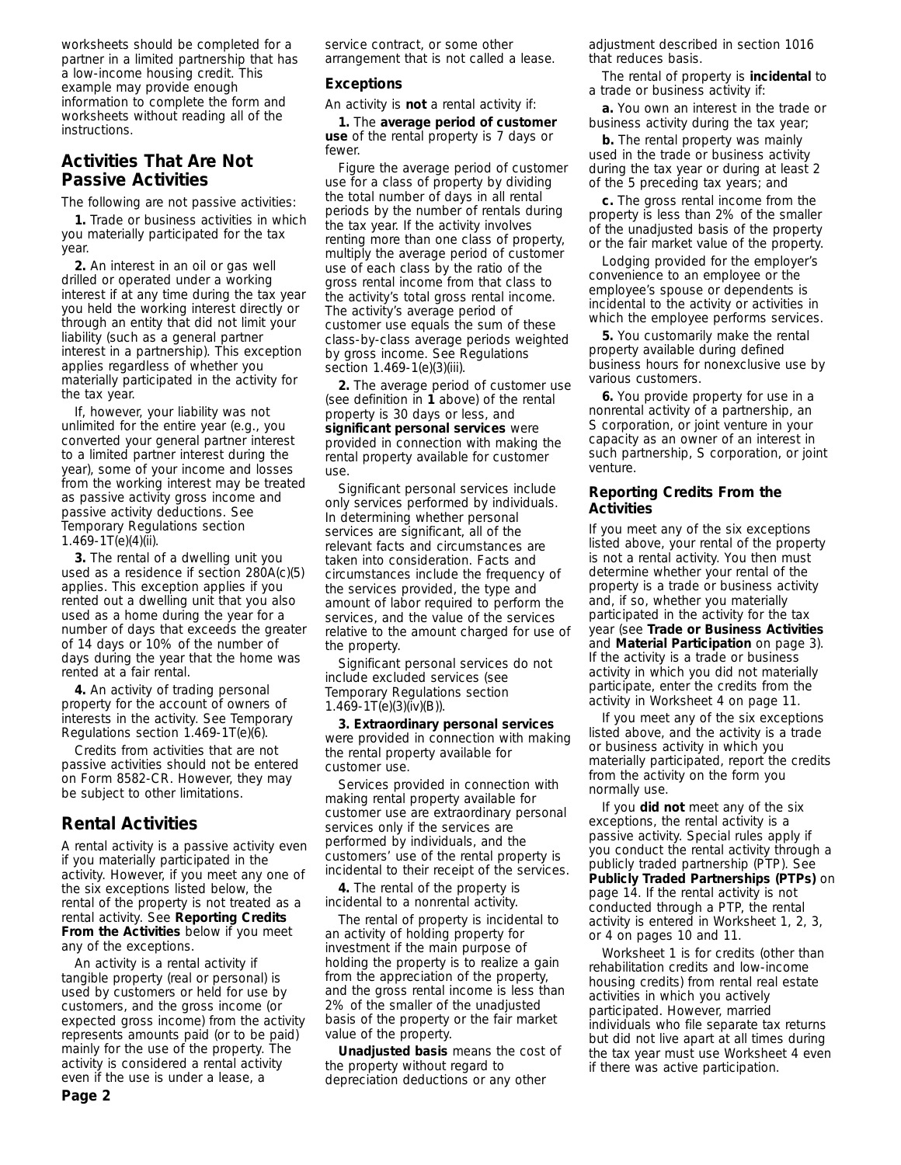worksheets should be completed for a partner in a limited partnership that has a low-income housing credit. This example may provide enough information to complete the form and worksheets without reading all of the instructions.

# **Activities That Are Not Passive Activities**

The following are not passive activities:

**1.** Trade or business activities in which you materially participated for the tax year.

**2.** An interest in an oil or gas well drilled or operated under a working interest if at any time during the tax year you held the working interest directly or through an entity that did not limit your liability (such as a general partner interest in a partnership). This exception applies regardless of whether you materially participated in the activity for the tax year.

If, however, your liability was not unlimited for the entire year (e.g., you converted your general partner interest to a limited partner interest during the year), some of your income and losses from the working interest may be treated as passive activity gross income and passive activity deductions. See Temporary Regulations section 1.469-1T(e)(4)(ii).

**3.** The rental of a dwelling unit you used as a residence if section 280A(c)(5) applies. This exception applies if you rented out a dwelling unit that you also used as a home during the year for a number of days that exceeds the greater of 14 days or 10% of the number of days during the year that the home was rented at a fair rental.

**4.** An activity of trading personal property for the account of owners of interests in the activity. See Temporary Regulations section 1.469-1T(e)(6).

Credits from activities that are not passive activities should not be entered on Form 8582-CR. However, they may be subject to other limitations.

# **Rental Activities**

A rental activity is a passive activity even if you materially participated in the activity. However, if you meet any one of the six exceptions listed below, the rental of the property is not treated as a rental activity. See **Reporting Credits From the Activities** below if you meet any of the exceptions.

An activity is a rental activity if tangible property (real or personal) is used by customers or held for use by customers, and the gross income (or expected gross income) from the activity represents amounts paid (or to be paid) mainly for the use of the property. The activity is considered a rental activity even if the use is under a lease, a

service contract, or some other arrangement that is not called a lease.

#### **Exceptions**

An activity is **not** a rental activity if:

**1.** The **average period of customer use** of the rental property is 7 days or fewer.

Figure the average period of customer use for a class of property by dividing the total number of days in all rental periods by the number of rentals during the tax year. If the activity involves renting more than one class of property, multiply the average period of customer use of each class by the ratio of the gross rental income from that class to the activity's total gross rental income. The activity's average period of customer use equals the sum of these class-by-class average periods weighted by gross income. See Regulations section 1.469-1(e)(3)(iii).

**2.** The average period of customer use (see definition in **1** above) of the rental property is 30 days or less, and **significant personal services** were provided in connection with making the rental property available for customer use.

Significant personal services include only services performed by individuals. In determining whether personal services are significant, all of the relevant facts and circumstances are taken into consideration. Facts and circumstances include the frequency of the services provided, the type and amount of labor required to perform the services, and the value of the services relative to the amount charged for use of the property.

Significant personal services do not include excluded services (see Temporary Regulations section 1.469-1T(e)(3)(iv)(B)).

**3. Extraordinary personal services** were provided in connection with making the rental property available for customer use.

Services provided in connection with making rental property available for customer use are extraordinary personal services only if the services are performed by individuals, and the customers' use of the rental property is incidental to their receipt of the services.

**4.** The rental of the property is incidental to a nonrental activity.

The rental of property is incidental to an activity of holding property for investment if the main purpose of holding the property is to realize a gain from the appreciation of the property, and the gross rental income is less than 2% of the smaller of the unadjusted basis of the property or the fair market value of the property.

**Unadjusted basis** means the cost of the property without regard to depreciation deductions or any other

adjustment described in section 1016 that reduces basis.

The rental of property is **incidental** to a trade or business activity if:

**a.** You own an interest in the trade or business activity during the tax year;

**b.** The rental property was mainly used in the trade or business activity during the tax year or during at least 2 of the 5 preceding tax years; and

**c.** The gross rental income from the property is less than 2% of the smaller of the unadjusted basis of the property or the fair market value of the property.

Lodging provided for the employer's convenience to an employee or the employee's spouse or dependents is incidental to the activity or activities in which the employee performs services.

**5.** You customarily make the rental property available during defined business hours for nonexclusive use by various customers.

**6.** You provide property for use in a nonrental activity of a partnership, an S corporation, or joint venture in your capacity as an owner of an interest in such partnership, S corporation, or joint venture.

#### **Reporting Credits From the Activities**

If you meet any of the six exceptions listed above, your rental of the property is not a rental activity. You then must determine whether your rental of the property is a trade or business activity and, if so, whether you materially participated in the activity for the tax year (see **Trade or Business Activities** and **Material Participation** on page 3). If the activity is a trade or business activity in which you did not materially participate, enter the credits from the activity in Worksheet 4 on page 11.

If you meet any of the six exceptions listed above, and the activity is a trade or business activity in which you materially participated, report the credits from the activity on the form you normally use.

If you **did not** meet any of the six exceptions, the rental activity is a passive activity. Special rules apply if you conduct the rental activity through a publicly traded partnership (PTP). See **Publicly Traded Partnerships (PTPs)** on page 14. If the rental activity is not conducted through a PTP, the rental activity is entered in Worksheet 1, 2, 3, or 4 on pages 10 and 11.

Worksheet 1 is for credits (other than rehabilitation credits and low-income housing credits) from rental real estate activities in which you actively participated. However, married individuals who file separate tax returns but did not live apart at all times during the tax year must use Worksheet 4 even if there was active participation.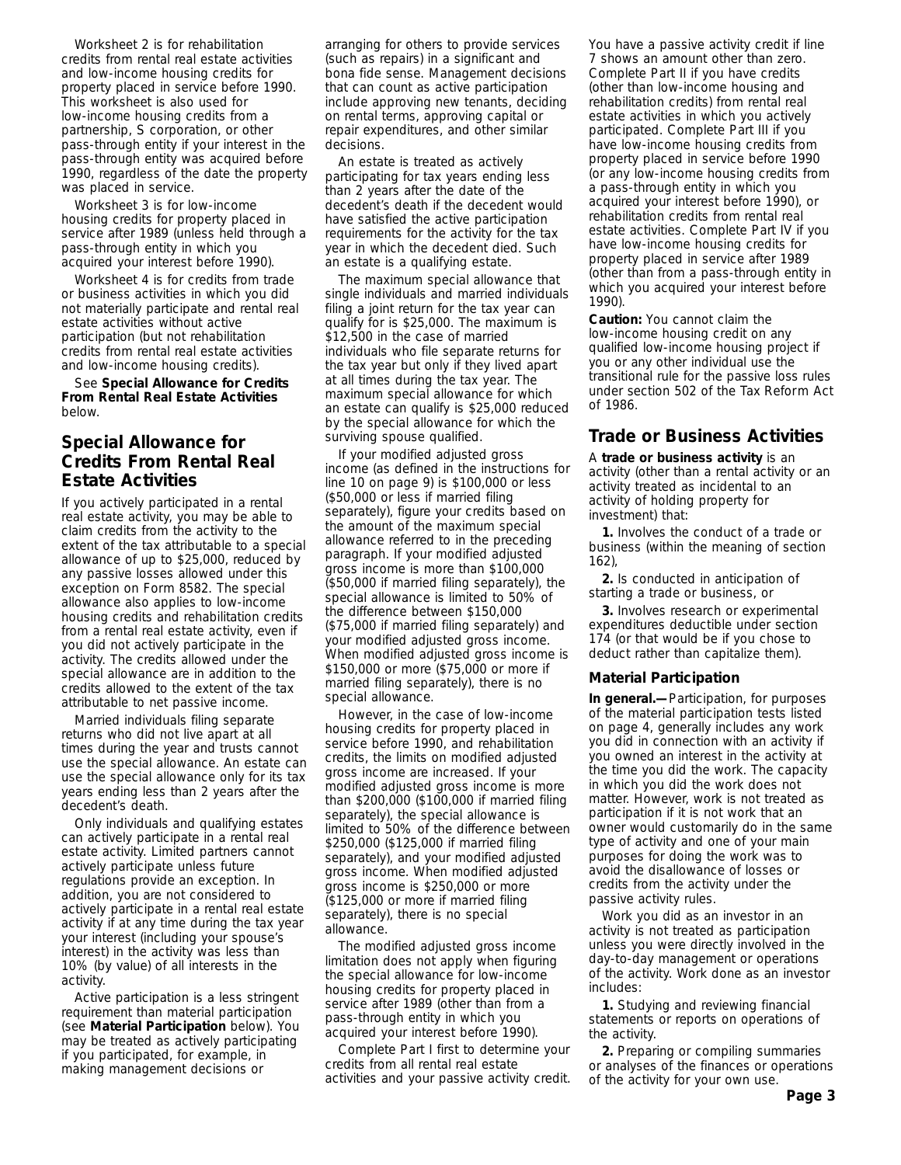Worksheet 2 is for rehabilitation credits from rental real estate activities and low-income housing credits for property placed in service before 1990. This worksheet is also used for low-income housing credits from a partnership, S corporation, or other pass-through entity if your interest in the pass-through entity was acquired before 1990, regardless of the date the property was placed in service.

Worksheet 3 is for low-income housing credits for property placed in service after 1989 (unless held through a pass-through entity in which you acquired your interest before 1990).

Worksheet 4 is for credits from trade or business activities in which you did not materially participate and rental real estate activities without active participation (but not rehabilitation credits from rental real estate activities and low-income housing credits).

See **Special Allowance for Credits From Rental Real Estate Activities** below.

# **Special Allowance for Credits From Rental Real Estate Activities**

If you actively participated in a rental real estate activity, you may be able to claim credits from the activity to the extent of the tax attributable to a special allowance of up to \$25,000, reduced by any passive losses allowed under this exception on Form 8582. The special allowance also applies to low-income housing credits and rehabilitation credits from a rental real estate activity, even if you did not actively participate in the activity. The credits allowed under the special allowance are in addition to the credits allowed to the extent of the tax attributable to net passive income.

Married individuals filing separate returns who did not live apart at all times during the year and trusts cannot use the special allowance. An estate can use the special allowance only for its tax years ending less than 2 years after the decedent's death.

Only individuals and qualifying estates can actively participate in a rental real estate activity. Limited partners cannot actively participate unless future regulations provide an exception. In addition, you are not considered to actively participate in a rental real estate activity if at any time during the tax year your interest (including your spouse's interest) in the activity was less than 10% (by value) of all interests in the activity.

Active participation is a less stringent requirement than material participation (see **Material Participation** below). You may be treated as actively participating if you participated, for example, in making management decisions or

arranging for others to provide services (such as repairs) in a significant and bona fide sense. Management decisions that can count as active participation include approving new tenants, deciding on rental terms, approving capital or repair expenditures, and other similar decisions.

An estate is treated as actively participating for tax years ending less than 2 years after the date of the decedent's death if the decedent would have satisfied the active participation requirements for the activity for the tax year in which the decedent died. Such an estate is a qualifying estate.

The maximum special allowance that single individuals and married individuals filing a joint return for the tax year can qualify for is \$25,000. The maximum is \$12,500 in the case of married individuals who file separate returns for the tax year but only if they lived apart at all times during the tax year. The maximum special allowance for which an estate can qualify is \$25,000 reduced by the special allowance for which the surviving spouse qualified.

If your modified adjusted gross income (as defined in the instructions for line 10 on page 9) is \$100,000 or less (\$50,000 or less if married filing separately), figure your credits based on the amount of the maximum special allowance referred to in the preceding paragraph. If your modified adjusted gross income is more than \$100,000 (\$50,000 if married filing separately), the special allowance is limited to 50% of the difference between \$150,000 (\$75,000 if married filing separately) and your modified adjusted gross income. When modified adjusted gross income is \$150,000 or more (\$75,000 or more if married filing separately), there is no special allowance.

However, in the case of low-income housing credits for property placed in service before 1990, and rehabilitation credits, the limits on modified adjusted gross income are increased. If your modified adjusted gross income is more than \$200,000 (\$100,000 if married filing separately), the special allowance is limited to 50% of the difference between \$250,000 (\$125,000 if married filing separately), and your modified adjusted gross income. When modified adjusted gross income is \$250,000 or more (\$125,000 or more if married filing separately), there is no special allowance.

The modified adjusted gross income limitation does not apply when figuring the special allowance for low-income housing credits for property placed in service after 1989 (other than from a pass-through entity in which you acquired your interest before 1990).

Complete Part I first to determine your credits from all rental real estate activities and your passive activity credit.

You have a passive activity credit if line 7 shows an amount other than zero. Complete Part II if you have credits (other than low-income housing and rehabilitation credits) from rental real estate activities in which you actively participated. Complete Part III if you have low-income housing credits from property placed in service before 1990 (or any low-income housing credits from a pass-through entity in which you acquired your interest before 1990), or rehabilitation credits from rental real estate activities. Complete Part IV if you have low-income housing credits for property placed in service after 1989 (other than from a pass-through entity in which you acquired your interest before 1990).

**Caution:** *You cannot claim the low-income housing credit on any qualified low-income housing project if you or any other individual use the transitional rule for the passive loss rules under section 502 of the Tax Reform Act of 1986.*

# **Trade or Business Activities**

A **trade or business activity** is an activity (other than a rental activity or an activity treated as incidental to an activity of holding property for investment) that:

**1.** Involves the conduct of a trade or business (within the meaning of section 162),

**2.** Is conducted in anticipation of starting a trade or business, or

**3.** Involves research or experimental expenditures deductible under section 174 (or that would be if you chose to deduct rather than capitalize them).

#### **Material Participation**

**In general.—**Participation, for purposes of the material participation tests listed on page 4, generally includes any work you did in connection with an activity if you owned an interest in the activity at the time you did the work. The capacity in which you did the work does not matter. However, work is not treated as participation if it is not work that an owner would customarily do in the same type of activity and one of your main purposes for doing the work was to avoid the disallowance of losses or credits from the activity under the passive activity rules.

Work you did as an investor in an activity is not treated as participation unless you were directly involved in the day-to-day management or operations of the activity. Work done as an investor includes:

**1.** Studying and reviewing financial statements or reports on operations of the activity.

**2.** Preparing or compiling summaries or analyses of the finances or operations of the activity for your own use.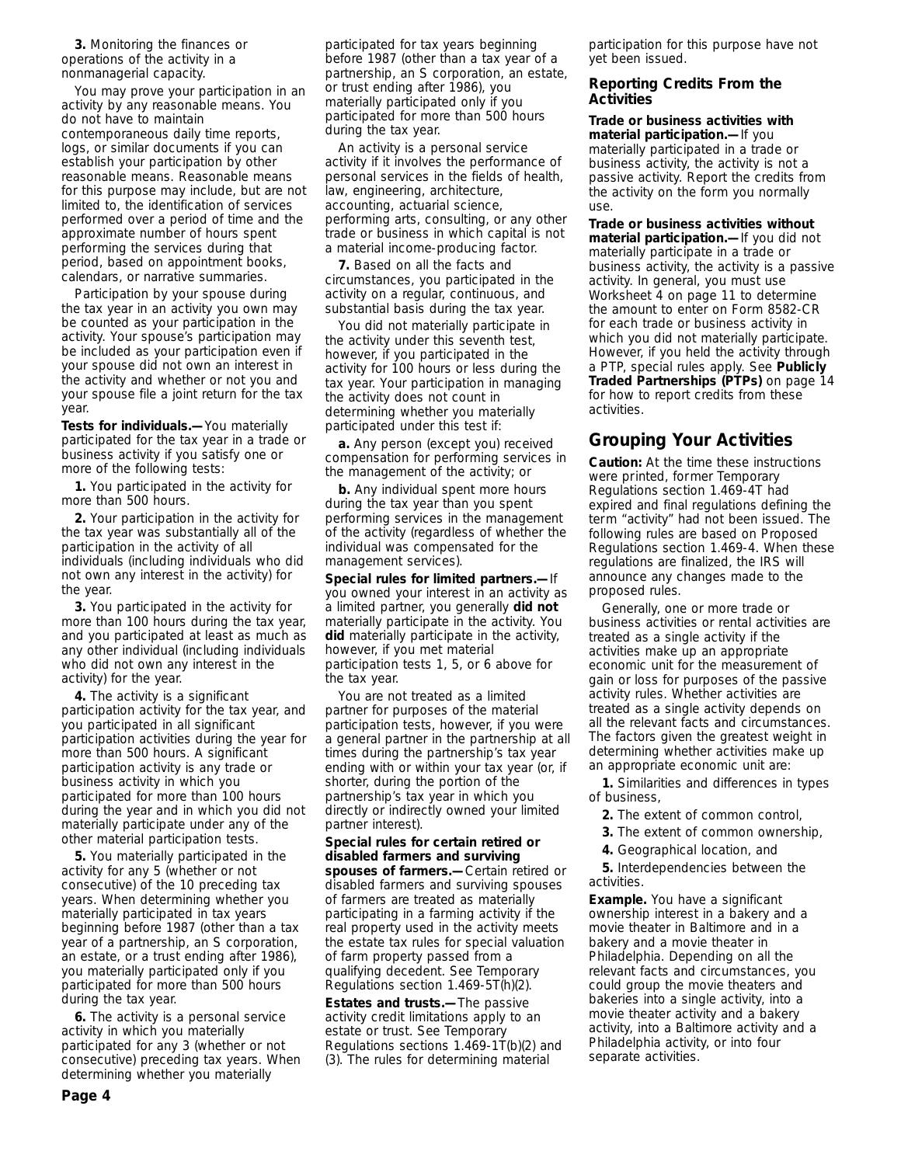**3.** Monitoring the finances or operations of the activity in a nonmanagerial capacity.

You may prove your participation in an activity by any reasonable means. You do not have to maintain contemporaneous daily time reports, logs, or similar documents if you can establish your participation by other reasonable means. Reasonable means for this purpose may include, but are not limited to, the identification of services performed over a period of time and the approximate number of hours spent performing the services during that period, based on appointment books, calendars, or narrative summaries.

Participation by your spouse during the tax year in an activity you own may be counted as your participation in the activity. Your spouse's participation may be included as your participation even if your spouse did not own an interest in the activity and whether or not you and your spouse file a joint return for the tax year.

**Tests for individuals.—**You materially participated for the tax year in a trade or business activity if you satisfy one or more of the following tests:

**1.** You participated in the activity for more than 500 hours.

**2.** Your participation in the activity for the tax year was substantially all of the participation in the activity of all individuals (including individuals who did not own any interest in the activity) for the year.

**3.** You participated in the activity for more than 100 hours during the tax year, and you participated at least as much as any other individual (including individuals who did not own any interest in the activity) for the year.

**4.** The activity is a significant participation activity for the tax year, and you participated in all significant participation activities during the year for more than 500 hours. A significant participation activity is any trade or business activity in which you participated for more than 100 hours during the year and in which you did not materially participate under any of the other material participation tests.

**5.** You materially participated in the activity for any 5 (whether or not consecutive) of the 10 preceding tax years. When determining whether you materially participated in tax years beginning before 1987 (other than a tax year of a partnership, an S corporation, an estate, or a trust ending after 1986), you materially participated only if you participated for more than 500 hours during the tax year.

**6.** The activity is a personal service activity in which you materially participated for any 3 (whether or not consecutive) preceding tax years. When determining whether you materially

participated for tax years beginning before 1987 (other than a tax year of a partnership, an S corporation, an estate, or trust ending after 1986), you materially participated only if you participated for more than 500 hours during the tax year.

An activity is a personal service activity if it involves the performance of personal services in the fields of health, law, engineering, architecture, accounting, actuarial science, performing arts, consulting, or any other trade or business in which capital is not a material income-producing factor.

**7.** Based on all the facts and circumstances, you participated in the activity on a regular, continuous, and substantial basis during the tax year.

You did not materially participate in the activity under this seventh test, however, if you participated in the activity for 100 hours or less during the tax year. Your participation in managing the activity does not count in determining whether you materially participated under this test if:

**a.** Any person (except you) received compensation for performing services in the management of the activity; or

**b.** Any individual spent more hours during the tax year than you spent performing services in the management of the activity (regardless of whether the individual was compensated for the management services).

**Special rules for limited partners.—**If you owned your interest in an activity as a limited partner, you generally **did not** materially participate in the activity. You **did** materially participate in the activity, however, if you met material participation tests 1, 5, or 6 above for the tax year.

You are not treated as a limited partner for purposes of the material participation tests, however, if you were a general partner in the partnership at all times during the partnership's tax year ending with or within your tax year (or, if shorter, during the portion of the partnership's tax year in which you directly or indirectly owned your limited partner interest).

**Special rules for certain retired or disabled farmers and surviving spouses of farmers.—**Certain retired or disabled farmers and surviving spouses of farmers are treated as materially participating in a farming activity if the real property used in the activity meets the estate tax rules for special valuation of farm property passed from a qualifying decedent. See Temporary Regulations section 1.469-5T(h)(2).

**Estates and trusts.—**The passive activity credit limitations apply to an estate or trust. See Temporary Regulations sections  $1.469 - 1\overline{T}$ (b)(2) and (3). The rules for determining material

participation for this purpose have not yet been issued.

#### **Reporting Credits From the Activities**

**Trade or business activities with material participation.—**If you materially participated in a trade or business activity, the activity is not a passive activity. Report the credits from the activity on the form you normally use.

**Trade or business activities without material participation.—**If you did not materially participate in a trade or business activity, the activity is a passive activity. In general, you must use Worksheet 4 on page 11 to determine the amount to enter on Form 8582-CR for each trade or business activity in which you did not materially participate. However, if you held the activity through a PTP, special rules apply. See **Publicly Traded Partnerships (PTPs)** on page 14 for how to report credits from these activities.

# **Grouping Your Activities**

**Caution:** *At the time these instructions were printed, former Temporary Regulations section 1.469-4T had expired and final regulations defining the term "activity" had not been issued. The following rules are based on Proposed Regulations section 1.469-4. When these regulations are finalized, the IRS will announce any changes made to the proposed rules.*

Generally, one or more trade or business activities or rental activities are treated as a single activity if the activities make up an appropriate economic unit for the measurement of gain or loss for purposes of the passive activity rules. Whether activities are treated as a single activity depends on all the relevant facts and circumstances. The factors given the greatest weight in determining whether activities make up an appropriate economic unit are:

**1.** Similarities and differences in types of business,

- **2.** The extent of common control,
- **3.** The extent of common ownership,
- **4.** Geographical location, and

**5.** Interdependencies between the activities.

**Example.** You have a significant ownership interest in a bakery and a movie theater in Baltimore and in a bakery and a movie theater in Philadelphia. Depending on all the relevant facts and circumstances, you could group the movie theaters and bakeries into a single activity, into a movie theater activity and a bakery activity, into a Baltimore activity and a Philadelphia activity, or into four separate activities.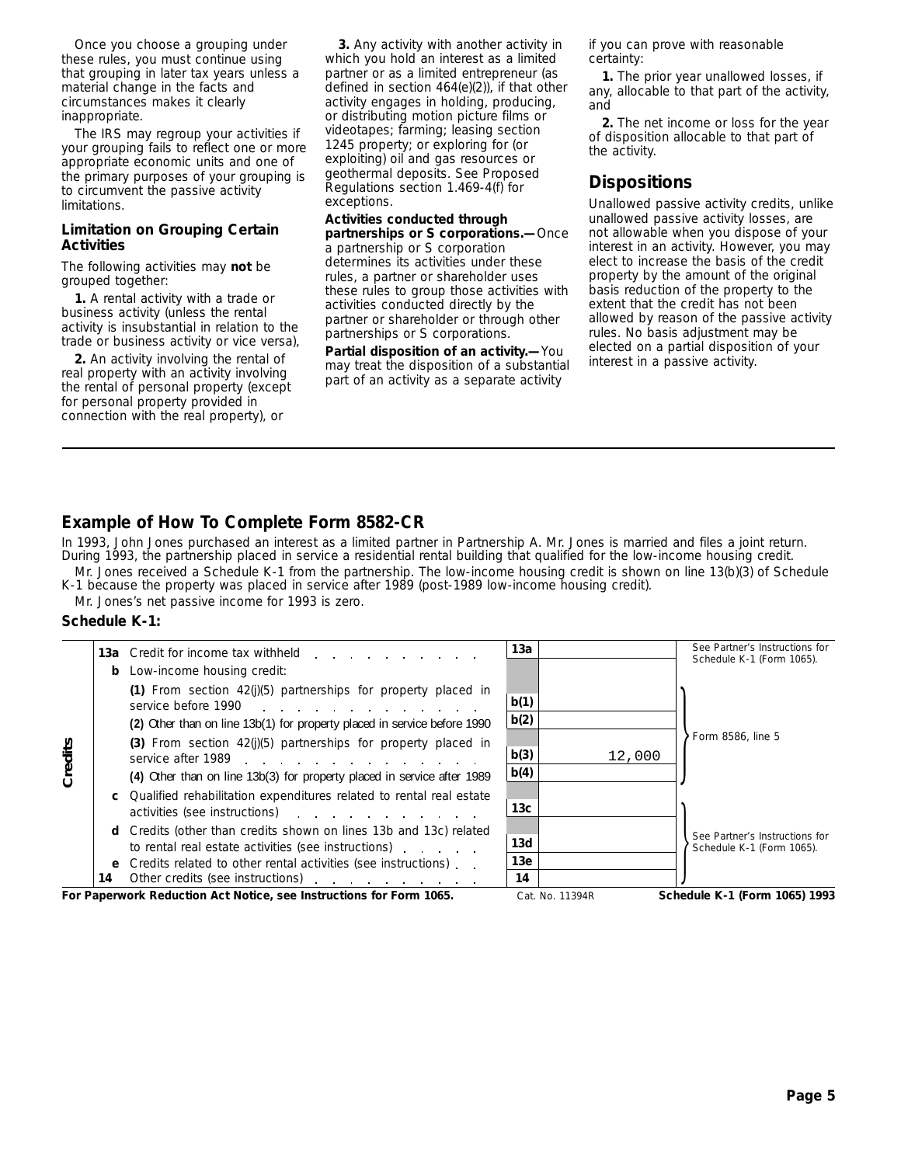Once you choose a grouping under these rules, you must continue using that grouping in later tax years unless a material change in the facts and circumstances makes it clearly inappropriate.

The IRS may regroup your activities if your grouping fails to reflect one or more appropriate economic units and one of the primary purposes of your grouping is to circumvent the passive activity limitations.

#### **Limitation on Grouping Certain Activities**

The following activities may **not** be grouped together:

**1.** A rental activity with a trade or business activity (unless the rental activity is insubstantial in relation to the trade or business activity or vice versa),

**2.** An activity involving the rental of real property with an activity involving the rental of personal property (except for personal property provided in connection with the real property), or

**3.** Any activity with another activity in which you hold an interest as a limited partner or as a limited entrepreneur (as defined in section 464(e)(2)), if that other activity engages in holding, producing, or distributing motion picture films or videotapes; farming; leasing section 1245 property; or exploring for (or exploiting) oil and gas resources or geothermal deposits. See Proposed Regulations section 1.469-4(f) for exceptions.

### **Activities conducted through**

**partnerships or S corporations.—**Once a partnership or S corporation determines its activities under these rules, a partner or shareholder uses these rules to group those activities with activities conducted directly by the partner or shareholder or through other partnerships or S corporations.

**Partial disposition of an activity.—**You may treat the disposition of a substantial part of an activity as a separate activity

if you can prove with reasonable certainty:

**1.** The prior year unallowed losses, if any, allocable to that part of the activity, and

**2.** The net income or loss for the year of disposition allocable to that part of the activity.

# **Dispositions**

Unallowed passive activity credits, unlike unallowed passive activity losses, are not allowable when you dispose of your interest in an activity. However, you may elect to increase the basis of the credit property by the amount of the original basis reduction of the property to the extent that the credit has not been allowed by reason of the passive activity rules. No basis adjustment may be elected on a partial disposition of your interest in a passive activity.

# **Example of How To Complete Form 8582-CR**

Mr. Jones received a Schedule K-1 from the partnership. The low-income housing credit is shown on line 13(b)(3) of Schedule In 1993, John Jones purchased an interest as a limited partner in Partnership A. Mr. Jones is married and files a joint return. During 1993, the partnership placed in service a residential rental building that qualified for the low-income housing credit.

K-1 because the property was placed in service after 1989 (post-1989 low-income housing credit).

Mr. Jones's net passive income for 1993 is zero.

#### **Schedule K-1:**

|         |    | 13a Credit for income tax withheld<br><b>b</b> Low-income housing credit:                                                                                                                                                                                                                                      | 13а             |                 | See Partner's Instructions for<br>Schedule K-1 (Form 1065). |
|---------|----|----------------------------------------------------------------------------------------------------------------------------------------------------------------------------------------------------------------------------------------------------------------------------------------------------------------|-----------------|-----------------|-------------------------------------------------------------|
|         |    | (1) From section $42(j)(5)$ partnerships for property placed in<br>service before 1990                                                                                                                                                                                                                         | b(1)            |                 |                                                             |
|         |    | (2) Other than on line 13b(1) for property placed in service before 1990                                                                                                                                                                                                                                       | b(2)            |                 |                                                             |
| Credits |    | (3) From section $42(j)(5)$ partnerships for property placed in<br>service after 1989 and the service after 1989                                                                                                                                                                                               | b(3)            | 12,000          | Form 8586, line 5                                           |
|         |    | (4) Other than on line 13b(3) for property placed in service after 1989                                                                                                                                                                                                                                        | b(4)            |                 |                                                             |
|         |    | <b>c</b> Qualified rehabilitation expenditures related to rental real estate<br>activities (see instructions) and the control of the control of the control of the control of the control of the control of the control of the control of the control of the control of the control of the control of the cont | 13 <sub>c</sub> |                 |                                                             |
|         |    | <b>d</b> Credits (other than credits shown on lines 13b and 13c) related<br>to rental real estate activities (see instructions)                                                                                                                                                                                | 13d             |                 | See Partner's Instructions for<br>Schedule K-1 (Form 1065). |
|         |    | e Credits related to other rental activities (see instructions).                                                                                                                                                                                                                                               | 13e             |                 |                                                             |
|         | 14 | Other credits (see instructions) example and the credits (see instructions)                                                                                                                                                                                                                                    | 14              |                 |                                                             |
|         |    | For Paperwork Reduction Act Notice, see Instructions for Form 1065.                                                                                                                                                                                                                                            |                 | Cat. No. 11394R | Schedule K-1 (Form 1065) 1993                               |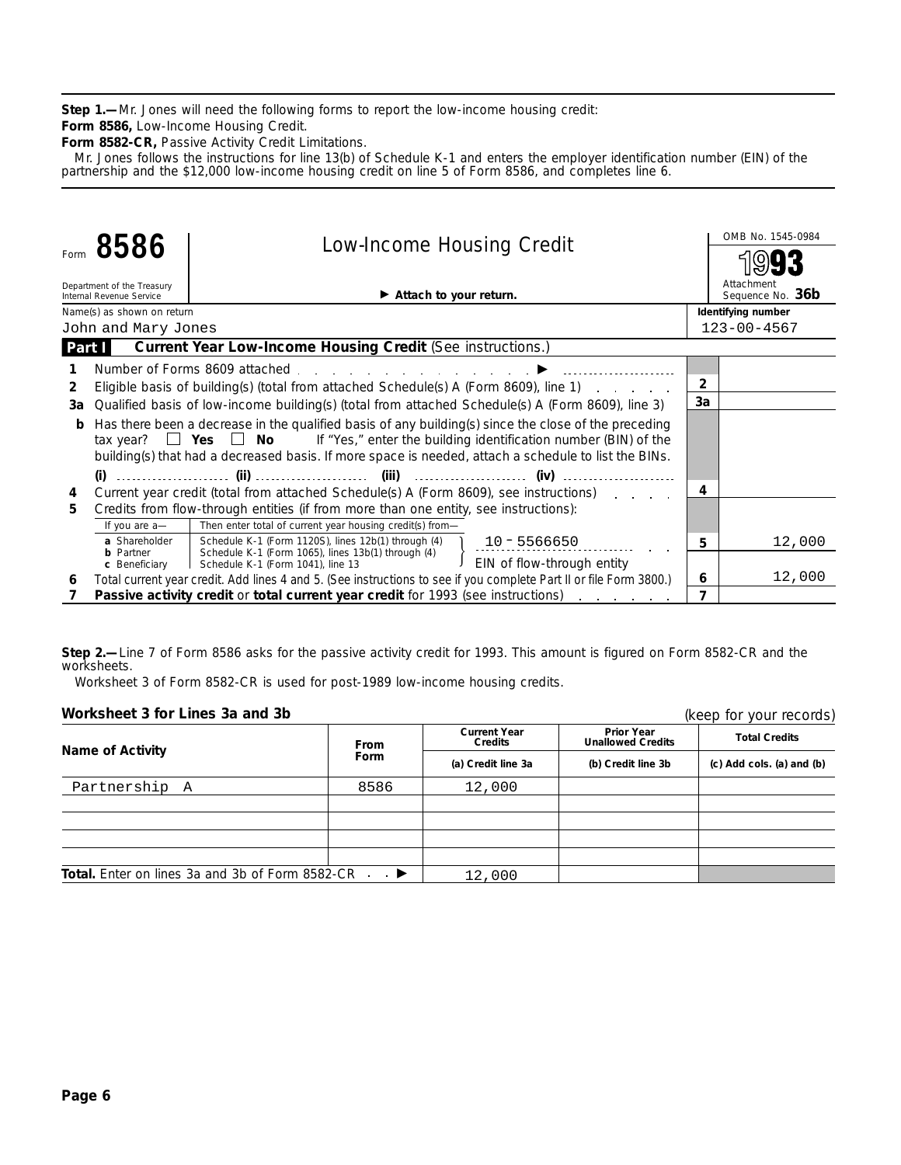**Step 1.—**Mr. Jones will need the following forms to report the low-income housing credit:

**Form 8586,** Low-Income Housing Credit.

**Form 8582-CR,** Passive Activity Credit Limitations.

Mr. Jones follows the instructions for line 13(b) of Schedule K-1 and enters the employer identification number (EIN) of the partnership and the \$12,000 low-income housing credit on line 5 of Form 8586, and completes line 6.

|                |                                                                                                   |                                                                                                                                                                                                                                                                                                                | OMB No. 1545-0984 |                                |
|----------------|---------------------------------------------------------------------------------------------------|----------------------------------------------------------------------------------------------------------------------------------------------------------------------------------------------------------------------------------------------------------------------------------------------------------------|-------------------|--------------------------------|
|                | 8586                                                                                              | <b>Low-Income Housing Credit</b>                                                                                                                                                                                                                                                                               |                   |                                |
|                | Department of the Treasury<br>Internal Revenue Service                                            | $\blacktriangleright$ Attach to your return.                                                                                                                                                                                                                                                                   |                   | Attachment<br>Sequence No. 36b |
|                | Name(s) as shown on return                                                                        |                                                                                                                                                                                                                                                                                                                |                   | Identifying number             |
|                | John and Mary Jones                                                                               |                                                                                                                                                                                                                                                                                                                |                   | $123 - 00 - 4567$              |
| Part I         |                                                                                                   | <b>Current Year Low-Income Housing Credit (See instructions.)</b>                                                                                                                                                                                                                                              |                   |                                |
|                |                                                                                                   | Number of Forms 8609 attached entitled and the same state of Forms 8609 attached and the same state of the state of                                                                                                                                                                                            |                   |                                |
| $\overline{2}$ |                                                                                                   | Eligible basis of building(s) (total from attached Schedule(s) A (Form 8609), line 1)                                                                                                                                                                                                                          | $\overline{2}$    |                                |
| За             | Qualified basis of low-income building(s) (total from attached Schedule(s) A (Form 8609), line 3) | 3a                                                                                                                                                                                                                                                                                                             |                   |                                |
| b              |                                                                                                   | Has there been a decrease in the qualified basis of any building(s) since the close of the preceding<br>tax year? $\Box$ Yes $\Box$ No If "Yes," enter the building identification number (BIN) of the<br>building(s) that had a decreased basis. If more space is needed, attach a schedule to list the BINs. |                   |                                |
|                |                                                                                                   |                                                                                                                                                                                                                                                                                                                |                   |                                |
| 4              |                                                                                                   | Current year credit (total from attached Schedule(s) A (Form 8609), see instructions)                                                                                                                                                                                                                          | 4                 |                                |
| 5.             |                                                                                                   | Credits from flow-through entities (if from more than one entity, see instructions):                                                                                                                                                                                                                           |                   |                                |
|                | If you are a-                                                                                     | Then enter total of current year housing credit(s) from-                                                                                                                                                                                                                                                       |                   |                                |
|                | a Shareholder                                                                                     | Schedule K-1 (Form 1120S), lines 12b(1) through (4) 10 - 5566650                                                                                                                                                                                                                                               | 5                 | 12,000                         |
|                | <b>b</b> Partner                                                                                  | Schedule K-1 (Form 1065), lines 13b(1) through (4)<br>J EIN of flow-through entity<br>c Beneficiary   Schedule K-1 (Form 1041), line 13                                                                                                                                                                        |                   |                                |
| 6              |                                                                                                   | Total current year credit. Add lines 4 and 5. (See instructions to see if you complete Part II or file Form 3800.)                                                                                                                                                                                             | 6                 | 12,000                         |
|                |                                                                                                   | Passive activity credit or total current year credit for 1993 (see instructions)<br>and a state of the state of                                                                                                                                                                                                | 7                 |                                |

**Step 2.—**Line 7 of Form 8586 asks for the passive activity credit for 1993. This amount is figured on Form 8582-CR and the worksheets.

Worksheet 3 of Form 8582-CR is used for post-1989 low-income housing credits.

| Worksheet 3 for Lines 3a and 3b                                      |                     |                                |                                               | (keep for your records)         |  |
|----------------------------------------------------------------------|---------------------|--------------------------------|-----------------------------------------------|---------------------------------|--|
| <b>Name of Activity</b>                                              | From<br><b>Form</b> | <b>Current Year</b><br>Credits | <b>Prior Year</b><br><b>Unallowed Credits</b> | <b>Total Credits</b>            |  |
|                                                                      |                     | (a) Credit line 3a             | (b) Credit line 3b                            | $(c)$ Add cols. $(a)$ and $(b)$ |  |
| Partnership A                                                        | 8586                | 12,000                         |                                               |                                 |  |
|                                                                      |                     |                                |                                               |                                 |  |
|                                                                      |                     |                                |                                               |                                 |  |
|                                                                      |                     |                                |                                               |                                 |  |
|                                                                      |                     |                                |                                               |                                 |  |
| <b>Total.</b> Enter on lines 3a and 3b of Form 8582-CR $\rightarrow$ |                     | 12,000                         |                                               |                                 |  |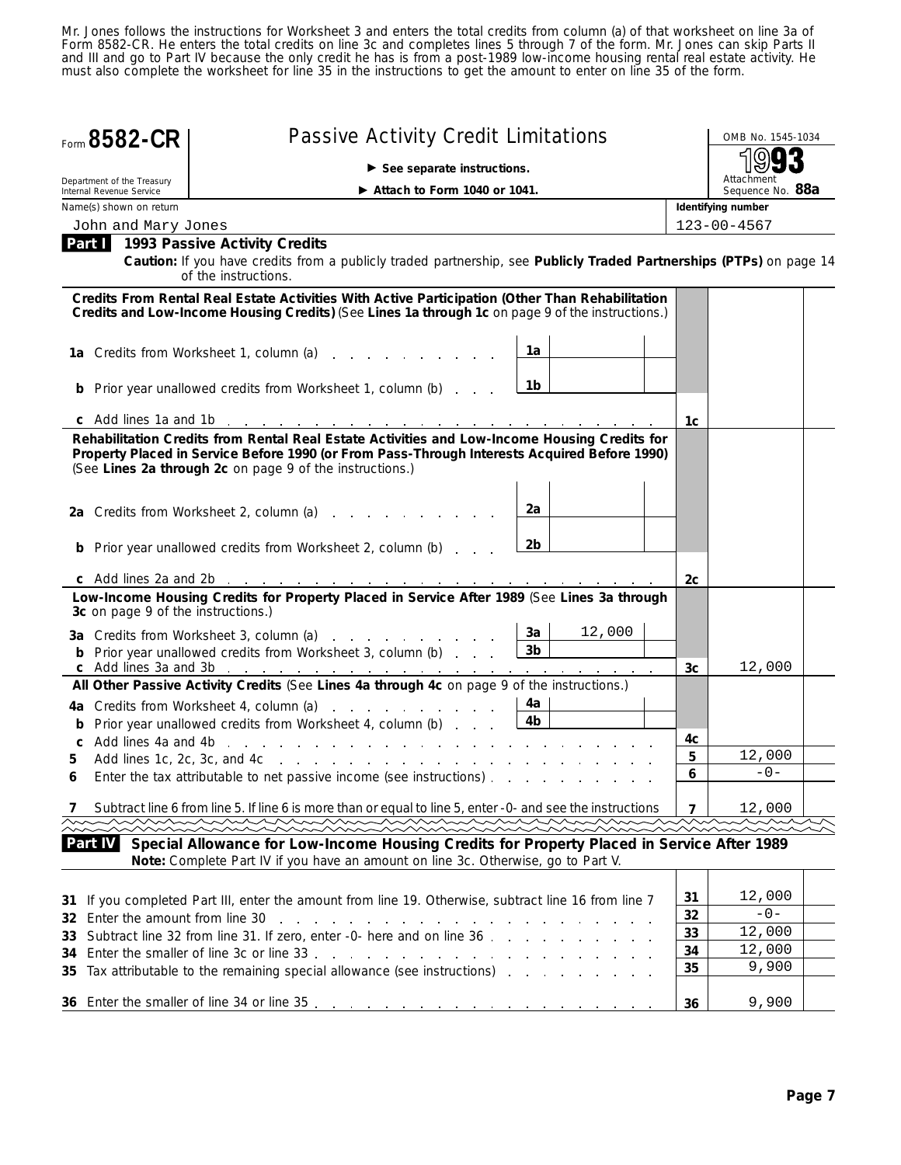Mr. Jones follows the instructions for Worksheet 3 and enters the total credits from column (a) of that worksheet on line 3a of Form 8582-CR. He enters the total credits on line 3c and completes lines 5 through 7 of the form. Mr. Jones can skip Parts II and III and go to Part IV because the only credit he has is from a post-1989 low-income housing rental real estate activity. He must also complete the worksheet for line 35 in the instructions to get the amount to enter on line 35 of the form.

|    | Form 8582-CR                                           | <b>Passive Activity Credit Limitations</b>                                                                                                                                                                                                                                                                                             |                                |                    |                | OMB No. 1545-1034 |
|----|--------------------------------------------------------|----------------------------------------------------------------------------------------------------------------------------------------------------------------------------------------------------------------------------------------------------------------------------------------------------------------------------------------|--------------------------------|--------------------|----------------|-------------------|
|    |                                                        | $\blacktriangleright$ See separate instructions.                                                                                                                                                                                                                                                                                       |                                |                    |                |                   |
|    | Department of the Treasury<br>Internal Revenue Service | $\blacktriangleright$ Attach to Form 1040 or 1041.                                                                                                                                                                                                                                                                                     | Attachment<br>Sequence No. 88a |                    |                |                   |
|    | Name(s) shown on return                                |                                                                                                                                                                                                                                                                                                                                        |                                | Identifying number |                |                   |
|    | John and Mary Jones                                    |                                                                                                                                                                                                                                                                                                                                        |                                |                    |                | $123 - 00 - 4567$ |
|    |                                                        | Part 1993 Passive Activity Credits                                                                                                                                                                                                                                                                                                     |                                |                    |                |                   |
|    |                                                        | Caution: If you have credits from a publicly traded partnership, see Publicly Traded Partnerships (PTPs) on page 14<br>of the instructions.                                                                                                                                                                                            |                                |                    |                |                   |
|    |                                                        | Credits From Rental Real Estate Activities With Active Participation (Other Than Rehabilitation<br>Credits and Low-Income Housing Credits) (See Lines 1a through 1c on page 9 of the instructions.)                                                                                                                                    |                                |                    |                |                   |
|    |                                                        | 1a Credits from Worksheet 1, column (a)                                                                                                                                                                                                                                                                                                | 1a                             |                    |                |                   |
|    |                                                        | <b>b</b> Prior year unallowed credits from Worksheet 1, column (b)                                                                                                                                                                                                                                                                     | 1b                             |                    |                |                   |
|    |                                                        |                                                                                                                                                                                                                                                                                                                                        |                                |                    | 1c             |                   |
|    |                                                        | Rehabilitation Credits from Rental Real Estate Activities and Low-Income Housing Credits for<br>Property Placed in Service Before 1990 (or From Pass-Through Interests Acquired Before 1990)<br>(See Lines 2a through 2c on page 9 of the instructions.)                                                                               |                                |                    |                |                   |
|    |                                                        | 2a Credits from Worksheet 2, column (a)                                                                                                                                                                                                                                                                                                | 2a                             |                    |                |                   |
|    |                                                        | <b>b</b> Prior year unallowed credits from Worksheet 2, column (b)                                                                                                                                                                                                                                                                     | 2b                             |                    |                |                   |
|    |                                                        |                                                                                                                                                                                                                                                                                                                                        |                                |                    | 2с             |                   |
|    | 3c on page 9 of the instructions.)                     | Low-Income Housing Credits for Property Placed in Service After 1989 (See Lines 3a through                                                                                                                                                                                                                                             |                                |                    |                |                   |
|    |                                                        | 3a Credits from Worksheet 3, column (a)                                                                                                                                                                                                                                                                                                | 3a                             | 12,000             |                |                   |
|    |                                                        | <b>b</b> Prior year unallowed credits from Worksheet 3, column (b)                                                                                                                                                                                                                                                                     | 3 <sub>b</sub>                 |                    |                | 12,000            |
|    |                                                        | All Other Passive Activity Credits (See Lines 4a through 4c on page 9 of the instructions.)                                                                                                                                                                                                                                            |                                |                    | 3c             |                   |
|    |                                                        | 4a Credits from Worksheet 4, column (a)                                                                                                                                                                                                                                                                                                | 4a                             |                    |                |                   |
|    |                                                        | <b>b</b> Prior year unallowed credits from Worksheet 4, column (b)                                                                                                                                                                                                                                                                     | 4b                             |                    |                |                   |
|    |                                                        |                                                                                                                                                                                                                                                                                                                                        |                                |                    | 4c             |                   |
|    |                                                        |                                                                                                                                                                                                                                                                                                                                        |                                |                    | 5              | 12,000            |
|    |                                                        | Enter the tax attributable to net passive income (see instructions)                                                                                                                                                                                                                                                                    |                                |                    | 6              | $-0-$             |
|    |                                                        | Subtract line 6 from line 5. If line 6 is more than or equal to line 5, enter -0- and see the instructions                                                                                                                                                                                                                             |                                |                    | $\overline{7}$ | 12,000            |
|    |                                                        |                                                                                                                                                                                                                                                                                                                                        |                                |                    |                |                   |
|    | Part IV                                                | Special Allowance for Low-Income Housing Credits for Property Placed in Service After 1989<br>Note: Complete Part IV if you have an amount on line 3c. Otherwise, go to Part V.                                                                                                                                                        |                                |                    |                |                   |
|    | 32 Enter the amount from line 30                       | 31 If you completed Part III, enter the amount from line 19. Otherwise, subtract line 16 from line 7<br>de la construcción de la construcción de la construcción de la construcción de la construcción de la construcción de la construcción de la construcción de la construcción de la construcción de la construcción de la constru |                                |                    | 31<br>32       | 12,000<br>$-0-$   |
| 33 |                                                        | Subtract line 32 from line 31. If zero, enter -0- here and on line 36                                                                                                                                                                                                                                                                  |                                |                    | 33             | 12,000            |
| 34 |                                                        |                                                                                                                                                                                                                                                                                                                                        |                                |                    | 34             | 12,000            |
|    |                                                        | 35 Tax attributable to the remaining special allowance (see instructions)                                                                                                                                                                                                                                                              |                                |                    | 35             | 9,900             |
|    |                                                        |                                                                                                                                                                                                                                                                                                                                        |                                |                    | 36             | 9,900             |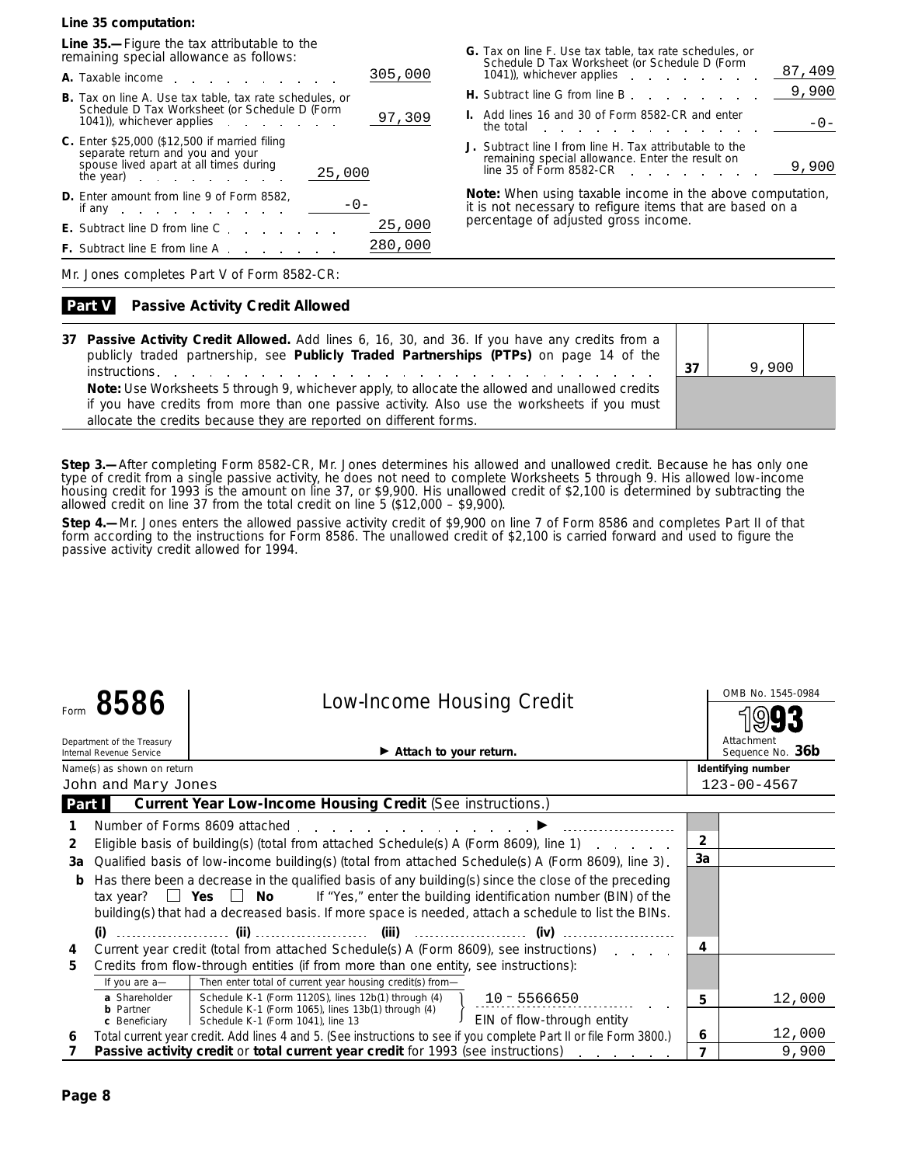**Line 35 computation:**

**Line 35.—**Figure the tax attributable to the remaining special allowance as follows:

| 305,000<br><b>A.</b> Taxable income                                                                                                                                                    |
|----------------------------------------------------------------------------------------------------------------------------------------------------------------------------------------|
| <b>B.</b> Tax on line A. Use tax table, tax rate schedules, or<br>Schedule D Tax Worksheet (or Schedule D (Form<br>97,309<br>1041), whichever applies                                  |
| C. Enter \$25,000 (\$12,500 if married filing<br>separate return and you and your<br>spouse lived apart at all times during<br>25,000<br>the year) in the search is a set of the year. |
| <b>D.</b> Enter amount from line 9 of Form 8582,<br>if any $\qquad \qquad \ldots$                                                                                                      |
| 25,000<br><b>E.</b> Subtract line D from line C                                                                                                                                        |
| 280,000<br><b>F.</b> Subtract line E from line A                                                                                                                                       |

| G. Tax on line F. Use tax table, tax rate schedules, or<br>Schedule D Tax Worksheet (or Schedule D (Form<br>87,409<br>1041), whichever applies  |
|-------------------------------------------------------------------------------------------------------------------------------------------------|
| 9,900<br>H. Subtract line G from line B entitled by the control of the Subtract line G from line B                                              |
| I. Add lines 16 and 30 of Form 8582-CR and enter<br>$-() -$<br>the total<br>the company of the company of the company of                        |
| J. Subtract line I from line H. Tax attributable to the<br>remaining special allowance. Enter the result on<br>line 35 of Form 8582-CR<br>9,900 |

**Note:** *When using taxable income in the above computation, it is not necessary to refigure items that are based on a percentage of adjusted gross income.*

Mr. Jones completes Part V of Form 8582-CR:

#### **Passive Activity Credit Allowed Part V**

**37 Passive Activity Credit Allowed.** Add lines 6, 16, 30, and 36. If you have any credits from a publicly traded partnership, see **Publicly Traded Partnerships (PTPs)** on page 14 of the **instructions. 37 Note:** *Use Worksheets 5 through 9, whichever apply, to allocate the allowed and unallowed credits if you have credits from more than one passive activity. Also use the worksheets if you must allocate the credits because they are reported on different forms.*



**Step 3.—**After completing Form 8582-CR, Mr. Jones determines his allowed and unallowed credit. Because he has only one type of credit from a single passive activity, he does not need to complete Worksheets 5 through 9. His allowed low-income housing credit for 1993 is the amount on line 37, or \$9,900. His unallowed credit of \$2,100 is determined by subtracting the allowed credit on line 37 from the total credit on line 5 (\$12,000 – \$9,900).

**Step 4.—**Mr. Jones enters the allowed passive activity credit of \$9,900 on line 7 of Form 8586 and completes Part II of that form according to the instructions for Form 8586. The unallowed credit of \$2,100 is carried forward and used to figure the passive activity credit allowed for 1994.

|        | 8586                                                                                                                                                                                                                                                                                                                        |                                   |                                                                   | OMB No. 1545-0984                                                                                                  |                |                                |
|--------|-----------------------------------------------------------------------------------------------------------------------------------------------------------------------------------------------------------------------------------------------------------------------------------------------------------------------------|-----------------------------------|-------------------------------------------------------------------|--------------------------------------------------------------------------------------------------------------------|----------------|--------------------------------|
|        | Department of the Treasury<br>Internal Revenue Service                                                                                                                                                                                                                                                                      |                                   | $\blacktriangleright$ Attach to your return.                      |                                                                                                                    |                | Attachment<br>Sequence No. 36b |
|        | Name(s) as shown on return                                                                                                                                                                                                                                                                                                  |                                   |                                                                   |                                                                                                                    |                | Identifying number             |
|        | John and Mary Jones                                                                                                                                                                                                                                                                                                         |                                   |                                                                   |                                                                                                                    |                | $123 - 00 - 4567$              |
| Part I |                                                                                                                                                                                                                                                                                                                             |                                   | <b>Current Year Low-Income Housing Credit (See instructions.)</b> |                                                                                                                    |                |                                |
|        |                                                                                                                                                                                                                                                                                                                             |                                   | Number of Forms 8609 attached D                                   |                                                                                                                    |                |                                |
| 2      |                                                                                                                                                                                                                                                                                                                             |                                   |                                                                   | Eligible basis of building(s) (total from attached Schedule(s) A (Form 8609), line 1)                              | $\overline{2}$ |                                |
| За     |                                                                                                                                                                                                                                                                                                                             |                                   |                                                                   | Qualified basis of low-income building(s) (total from attached Schedule(s) A (Form 8609), line 3).                 | 3a             |                                |
| b      | Has there been a decrease in the qualified basis of any building(s) since the close of the preceding<br><b>Example 1</b> Yes $\Box$ No If "Yes," enter the building identification number (BIN) of the<br>tax year?<br>building(s) that had a decreased basis. If more space is needed, attach a schedule to list the BINs. |                                   |                                                                   |                                                                                                                    |                |                                |
|        | $(i)$                                                                                                                                                                                                                                                                                                                       |                                   |                                                                   |                                                                                                                    |                |                                |
| 4      |                                                                                                                                                                                                                                                                                                                             |                                   |                                                                   | Current year credit (total from attached Schedule(s) A (Form 8609), see instructions)                              | 4              |                                |
| 5.     | Credits from flow-through entities (if from more than one entity, see instructions):                                                                                                                                                                                                                                        |                                   |                                                                   |                                                                                                                    |                |                                |
|        | If you are a-                                                                                                                                                                                                                                                                                                               |                                   | Then enter total of current year housing credit(s) from-          |                                                                                                                    |                |                                |
|        | a Shareholder                                                                                                                                                                                                                                                                                                               |                                   | Schedule K-1 (Form 1120S), lines 12b(1) through (4)               | $10 - 5566650$                                                                                                     | 5              | 12,000                         |
|        | <b>b</b> Partner<br>c Beneficiary                                                                                                                                                                                                                                                                                           | Schedule K-1 (Form 1041), line 13 | Schedule K-1 (Form 1065), lines 13b(1) through (4)                | EIN of flow-through entity                                                                                         |                |                                |
| 6      |                                                                                                                                                                                                                                                                                                                             |                                   |                                                                   | Total current year credit. Add lines 4 and 5. (See instructions to see if you complete Part II or file Form 3800.) | 6              | 12,000                         |
|        |                                                                                                                                                                                                                                                                                                                             |                                   |                                                                   | Passive activity credit or total current year credit for 1993 (see instructions)                                   | 7              | 9,900                          |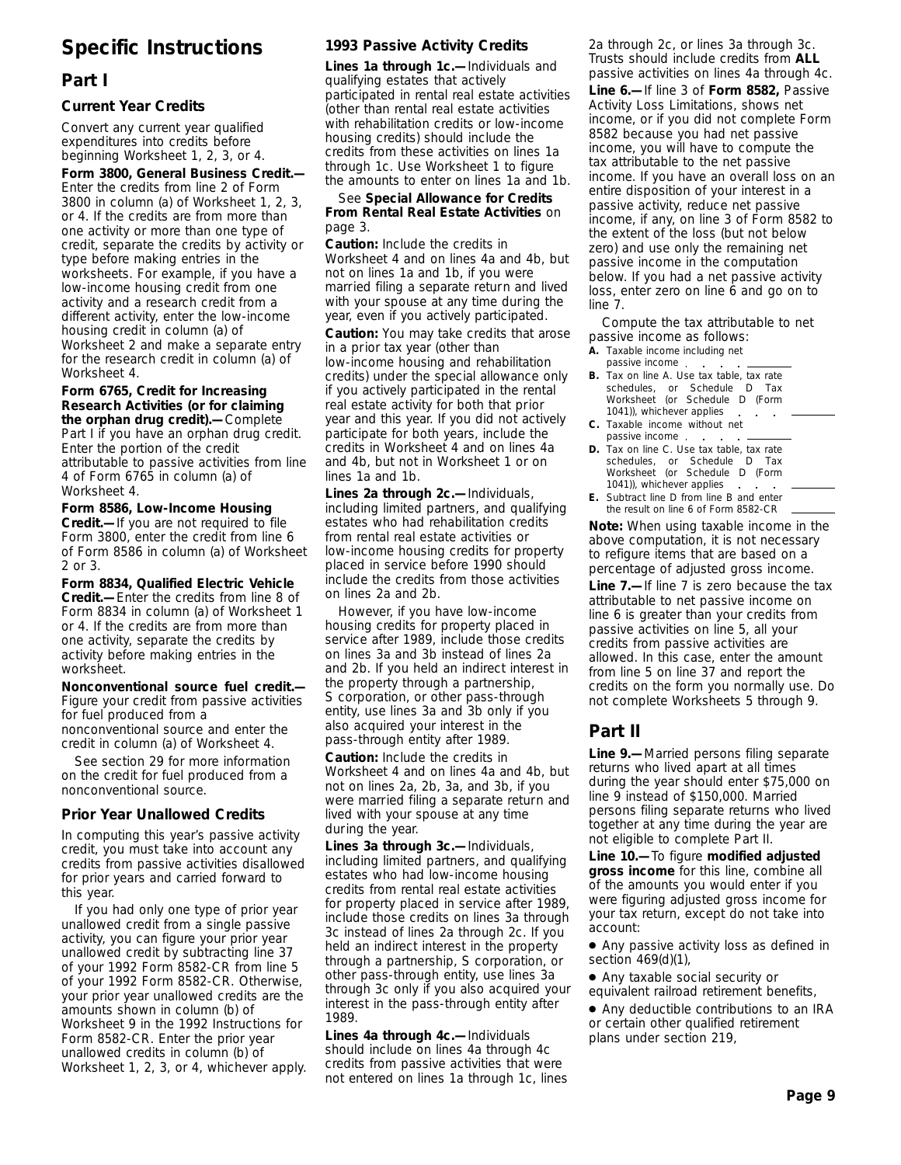# **Specific Instructions**

# **Part I**

# **Current Year Credits**

Convert any current year qualified expenditures into credits before beginning Worksheet 1, 2, 3, or 4.

**Form 3800, General Business Credit.—** Enter the credits from line 2 of Form 3800 in column (a) of Worksheet 1, 2, 3, or 4. If the credits are from more than one activity or more than one type of credit, separate the credits by activity or type before making entries in the worksheets. For example, if you have a low-income housing credit from one activity and a research credit from a different activity, enter the low-income housing credit in column (a) of Worksheet 2 and make a separate entry for the research credit in column (a) of Worksheet 4.

**Form 6765, Credit for Increasing Research Activities (or for claiming the orphan drug credit).—**Complete Part I if you have an orphan drug credit. Enter the portion of the credit attributable to passive activities from line 4 of Form 6765 in column (a) of Worksheet 4.

**Form 8586, Low-Income Housing Credit.—**If you are not required to file Form 3800, enter the credit from line 6 of Form 8586 in column (a) of Worksheet 2 or 3.

**Form 8834, Qualified Electric Vehicle Credit.—**Enter the credits from line 8 of Form 8834 in column (a) of Worksheet 1 or 4. If the credits are from more than one activity, separate the credits by activity before making entries in the worksheet.

**Nonconventional source fuel credit.—** Figure your credit from passive activities for fuel produced from a nonconventional source and enter the credit in column (a) of Worksheet 4.

See section 29 for more information on the credit for fuel produced from a nonconventional source.

# **Prior Year Unallowed Credits**

In computing this year's passive activity credit, you must take into account any credits from passive activities disallowed for prior years and carried forward to this year.

If you had only one type of prior year unallowed credit from a single passive activity, you can figure your prior year unallowed credit by subtracting line 37 of your 1992 Form 8582-CR from line 5 of your 1992 Form 8582-CR. Otherwise, your prior year unallowed credits are the amounts shown in column (b) of Worksheet 9 in the 1992 Instructions for Form 8582-CR. Enter the prior year unallowed credits in column (b) of Worksheet 1, 2, 3, or 4, whichever apply.

# **1993 Passive Activity Credits**

**Lines 1a through 1c.—**Individuals and qualifying estates that actively participated in rental real estate activities (other than rental real estate activities with rehabilitation credits or low-income housing credits) should include the credits from these activities on lines 1a through 1c. Use Worksheet 1 to figure the amounts to enter on lines 1a and 1b.

See **Special Allowance for Credits From Rental Real Estate Activities** on page 3.

**Caution:** *Include the credits in Worksheet 4 and on lines 4a and 4b, but not on lines 1a and 1b, if you were married filing a separate return and lived with your spouse at any time during the year, even if you actively participated.*

**Caution:** *You may take credits that arose in a prior tax year (other than low-income housing and rehabilitation credits) under the special allowance only if you actively participated in the rental real estate activity for both that prior year and this year. If you did not actively participate for both years, include the credits in Worksheet 4 and on lines 4a and 4b, but not in Worksheet 1 or on lines 1a and 1b.*

**Lines 2a through 2c.—**Individuals, including limited partners, and qualifying estates who had rehabilitation credits from rental real estate activities or low-income housing credits for property placed in service before 1990 should include the credits from those activities on lines 2a and 2b.

However, if you have low-income housing credits for property placed in service after 1989, include those credits on lines 3a and 3b instead of lines 2a and 2b. If you held an indirect interest in the property through a partnership, S corporation, or other pass-through entity, use lines 3a and 3b only if you also acquired your interest in the pass-through entity after 1989.

**Caution:** *Include the credits in Worksheet 4 and on lines 4a and 4b, but not on lines 2a, 2b, 3a, and 3b, if you were married filing a separate return and lived with your spouse at any time during the year.*

**Lines 3a through 3c.—**Individuals, including limited partners, and qualifying estates who had low-income housing credits from rental real estate activities for property placed in service after 1989, include those credits on lines 3a through 3c instead of lines 2a through 2c. If you held an indirect interest in the property through a partnership, S corporation, or other pass-through entity, use lines 3a through 3c only if you also acquired your interest in the pass-through entity after 1989.

**Lines 4a through 4c.—**Individuals should include on lines 4a through 4c credits from passive activities that were not entered on lines 1a through 1c, lines 2a through 2c, or lines 3a through 3c. Trusts should include credits from **ALL** passive activities on lines 4a through 4c.

**Line 6.—**If line 3 of **Form 8582,** Passive Activity Loss Limitations, shows net income, or if you did not complete Form 8582 because you had net passive income, you will have to compute the tax attributable to the net passive income. If you have an overall loss on an entire disposition of your interest in a passive activity, reduce net passive income, if any, on line 3 of Form 8582 to the extent of the loss (but not below zero) and use only the remaining net passive income in the computation below. If you had a net passive activity loss, enter zero on line 6 and go on to line 7.

Compute the tax attributable to net passive income as follows:

- **A.** Taxable income including net
- passive income. **B.** Tax on line A. Use tax table, tax rate schedules, or Schedule D Tax Worksheet (or Schedule D (Form 1041)), whichever applies
- **C.** Taxable income without net passive income . .
- **D.** Tax on line C. Use tax table, tax rate schedules, or Schedule D Tax Worksheet (or Schedule D (Form 1041)), whichever applies
- **E.** Subtract line D from line B and enter the result on line 6 of Form 8582-CR

**Note:** *When using taxable income in the above computation, it is not necessary to refigure items that are based on a percentage of adjusted gross income.*

**Line 7.—**If line 7 is zero because the tax attributable to net passive income on line 6 is greater than your credits from passive activities on line 5, all your credits from passive activities are allowed. In this case, enter the amount from line 5 on line 37 and report the credits on the form you normally use. Do not complete Worksheets 5 through 9.

# **Part II**

**Line 9.—**Married persons filing separate returns who lived apart at all times during the year should enter \$75,000 on line 9 instead of \$150,000. Married persons filing separate returns who lived together at any time during the year are not eligible to complete Part II.

**Line 10.—**To figure **modified adjusted gross income** for this line, combine all of the amounts you would enter if you were figuring adjusted gross income for your tax return, except do not take into account:

● Any passive activity loss as defined in section 469(d)(1),

● Any taxable social security or equivalent railroad retirement benefits,

● Any deductible contributions to an IRA or certain other qualified retirement plans under section 219,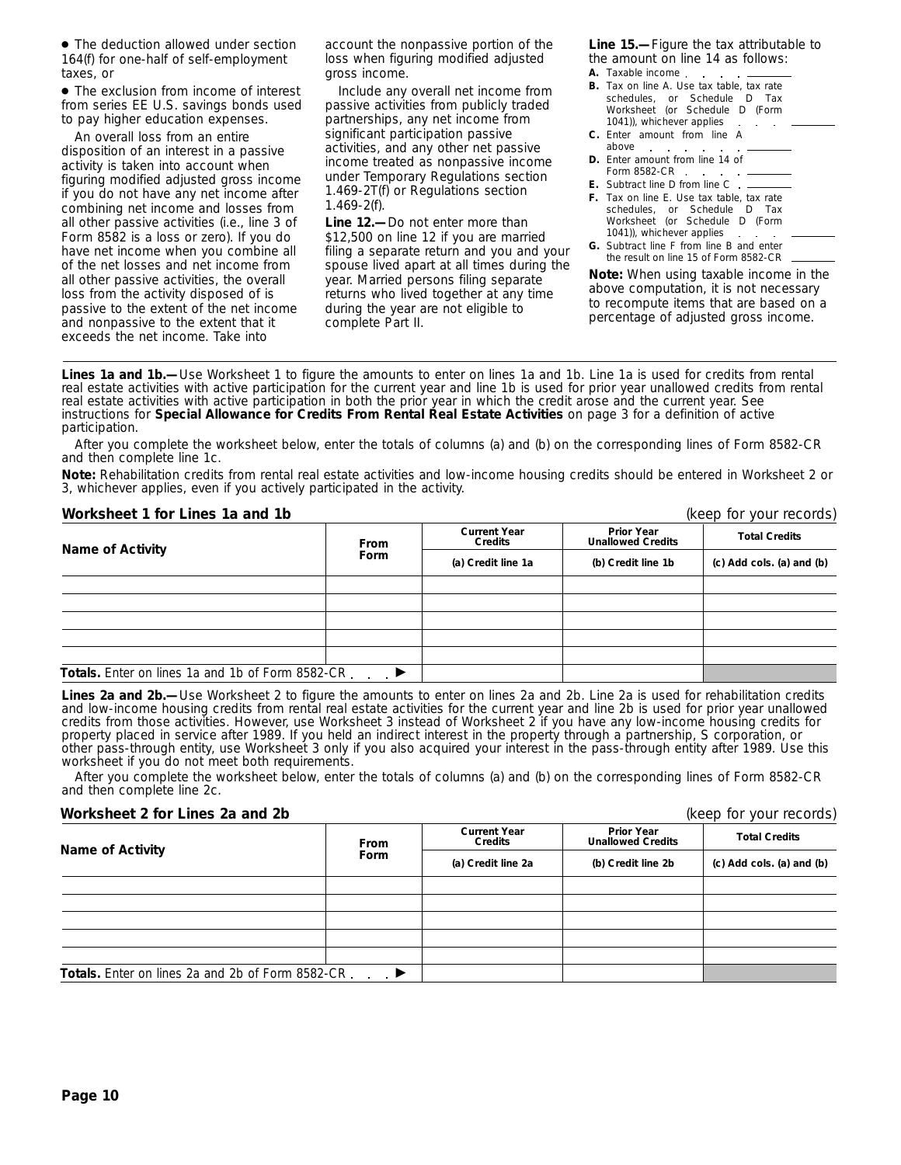● The deduction allowed under section 164(f) for one-half of self-employment taxes, or

● The exclusion from income of interest from series EE U.S. savings bonds used to pay higher education expenses.

An overall loss from an entire disposition of an interest in a passive activity is taken into account when figuring modified adjusted gross income if you do not have any net income after combining net income and losses from all other passive activities (i.e., line 3 of Form 8582 is a loss or zero). If you do have net income when you combine all of the net losses and net income from all other passive activities, the overall loss from the activity disposed of is passive to the extent of the net income and nonpassive to the extent that it exceeds the net income. Take into

account the nonpassive portion of the loss when figuring modified adjusted gross income.

Include any overall net income from passive activities from publicly traded partnerships, any net income from significant participation passive activities, and any other net passive income treated as nonpassive income under Temporary Regulations section 1.469-2T(f) or Regulations section 1.469-2(f).

**Line 12.—**Do not enter more than \$12,500 on line 12 if you are married filing a separate return and you and your spouse lived apart at all times during the year. Married persons filing separate returns who lived together at any time during the year are not eligible to complete Part II.

**Line 15.—**Figure the tax attributable to the amount on line 14 as follows: **A.** Taxable income

- **B.** Tax on line A. Use tax table, tax rate schedules, or Schedule D Tax Worksheet (or Schedule D (Form 1041)), whichever applies  $\mathcal{A}^{\mathcal{A}}$  and  $\mathcal{A}^{\mathcal{A}}$ **C.** Enter amount from line A
- above **D.** Enter amount from line 14 of Form 8582-CR . . . . . .
- **E.** Subtract line D from line C
- **F.** Tax on line E. Use tax table, tax rate schedules, or Schedule D Tax Worksheet (or Schedule D (Form 1041)), whichever applies.
- **G.** Subtract line F from line B and enter the result on line 15 of Form 8582-CR

**Note:** *When using taxable income in the above computation, it is not necessary to recompute items that are based on a percentage of adjusted gross income.*

Lines 1a and 1b.-Use Worksheet 1 to figure the amounts to enter on lines 1a and 1b. Line 1a is used for credits from rental real estate activities with active participation for the current year and line 1b is used for prior year unallowed credits from rental real estate activities with active participation in both the prior year in which the credit arose and the current year. See instructions for **Special Allowance for Credits From Rental Real Estate Activities** on page 3 for a definition of active participation.

After you complete the worksheet below, enter the totals of columns (a) and (b) on the corresponding lines of Form 8582-CR and then complete line 1c.

**Note:** *Rehabilitation credits from rental real estate activities and low-income housing credits should be entered in Worksheet 2 or 3, whichever applies, even if you actively participated in the activity.*

# **Worksheet 1 for Lines 1a and 1b** (keep for your records)

**Prior Year Unallowed Credits Current Year CONTREGITED CREDIT CREDIT CREDIT CREDIT CREDIT CREDIT CREDIT CREDIT CREDIT CREDIT CREDIT CREDIT CREDIT CREDIT CREDIT CREDIT CREDIT CREDIT CREDIT CREDIT CREDIT CREDIT CREDIT CREDIT CREDIT CREDIT CREDIT CREDIT CREDIT CREDIT Totals.** Enter on lines 1a and 1b of Form 8582-CR enter ■

Lines 2a and 2b.—Use Worksheet 2 to figure the amounts to enter on lines 2a and 2b. Line 2a is used for rehabilitation credits and low-income housing credits from rental real estate activities for the current year and line 2b is used for prior year unallowed credits from those activities. However, use Worksheet 3 instead of Worksheet 2 if you have any low-income housing credits for property placed in service after 1989. If you held an indirect interest in the property through a partnership, S corporation, or other pass-through entity, use Worksheet 3 only if you also acquired your interest in the pass-through entity after 1989. Use this worksheet if you do not meet both requirements.

After you complete the worksheet below, enter the totals of columns (a) and (b) on the corresponding lines of Form 8582-CR and then complete line 2c.

#### **Worksheet 2 for Lines 2a and 2b** (keep for your records)

| $\frac{1}{2}$                                            | <b>INCED IDI YUUI ICCUIUS</b> |                                |                                               |                           |  |  |  |
|----------------------------------------------------------|-------------------------------|--------------------------------|-----------------------------------------------|---------------------------|--|--|--|
| <b>Name of Activity</b>                                  | <b>From</b><br><b>Form</b>    | <b>Current Year</b><br>Credits | <b>Prior Year</b><br><b>Unallowed Credits</b> | <b>Total Credits</b>      |  |  |  |
|                                                          |                               | (a) Credit line 2a             | (b) Credit line 2b                            | (c) Add cols. (a) and (b) |  |  |  |
|                                                          |                               |                                |                                               |                           |  |  |  |
|                                                          |                               |                                |                                               |                           |  |  |  |
|                                                          |                               |                                |                                               |                           |  |  |  |
|                                                          |                               |                                |                                               |                           |  |  |  |
|                                                          |                               |                                |                                               |                           |  |  |  |
| <b>Totals.</b> Enter on lines 2a and 2b of Form 8582-CR. | $\rightarrow$                 |                                |                                               |                           |  |  |  |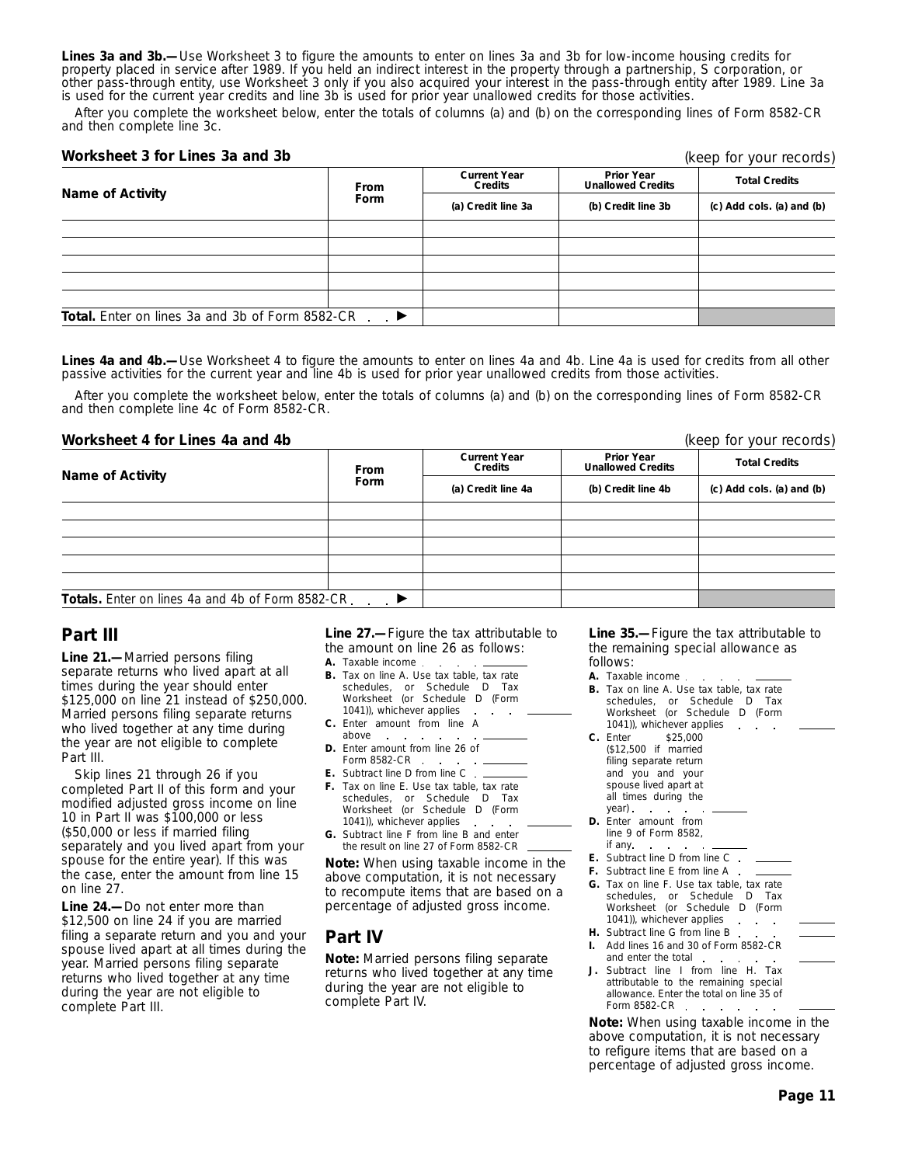**Lines 3a and 3b.—**Use Worksheet 3 to figure the amounts to enter on lines 3a and 3b for low-income housing credits for property placed in service after 1989. If you held an indirect interest in the property through a partnership, S corporation, or other pass-through entity, use Worksheet 3 only if you also acquired your interest in the pass-through entity after 1989. Line 3a is used for the current year credits and line 3b is used for prior year unallowed credits for those activities.

After you complete the worksheet below, enter the totals of columns (a) and (b) on the corresponding lines of Form 8582-CR and then complete line 3c.

#### **Worksheet 3 for Lines 3a and 3b**

| Name of Activity                                       | <b>From</b><br><b>Form</b> | <b>Current Year</b><br>Credits | <b>Prior Year</b><br><b>Unallowed Credits</b> | <b>Total Credits</b>      |
|--------------------------------------------------------|----------------------------|--------------------------------|-----------------------------------------------|---------------------------|
|                                                        |                            | (a) Credit line 3a             | (b) Credit line 3b                            | (c) Add cols. (a) and (b) |
|                                                        |                            |                                |                                               |                           |
|                                                        |                            |                                |                                               |                           |
|                                                        |                            |                                |                                               |                           |
|                                                        |                            |                                |                                               |                           |
|                                                        |                            |                                |                                               |                           |
| <b>Total.</b> Enter on lines 3a and 3b of Form 8582-CR | $\overline{\phantom{a}}$   |                                |                                               |                           |

Lines 4a and 4b.—Use Worksheet 4 to figure the amounts to enter on lines 4a and 4b. Line 4a is used for credits from all other passive activities for the current year and line 4b is used for prior year unallowed credits from those activities.

After you complete the worksheet below, enter the totals of columns (a) and (b) on the corresponding lines of Form 8582-CR and then complete line 4c of Form 8582-CR.

#### **Worksheet 4 for Lines 4a and 4b** (keep for your records)

**Prior Year Unallowed Credits Current Year CONFIGENT CREAD CONFIGENT CREDITS ISSUE CREDIT CREDIT CREDIT CREDIT CREDIT CREDIT CREDIT CREDIT CREDIT CREDIT CREDIT CREDIT CREDIT CREDIT CREDIT CREDIT CREDIT CREDIT CREDIT CREDIT CREDIT CREDIT CREDIT CREDIT CREDIT CREDIT** Totals. Enter on lines 4a and 4b of Form 8582-CR inter-

# **Part III**

**Line 21.—**Married persons filing separate returns who lived apart at all times during the year should enter \$125,000 on line 21 instead of \$250,000. Married persons filing separate returns who lived together at any time during the year are not eligible to complete Part III.

Skip lines 21 through 26 if you completed Part II of this form and your modified adjusted gross income on line 10 in Part II was \$100,000 or less (\$50,000 or less if married filing separately and you lived apart from your spouse for the entire year). If this was the case, enter the amount from line 15 on line 27.

**Line 24.—**Do not enter more than \$12,500 on line 24 if you are married filing a separate return and you and your spouse lived apart at all times during the year. Married persons filing separate returns who lived together at any time during the year are not eligible to complete Part III.

**Line 27.—**Figure the tax attributable to the amount on line 26 as follows:

- **A.** Taxable income
- **B.** Tax on line A. Use tax table, tax rate schedules, or Schedule D Tax Worksheet (or Schedule D (Form 1041)), whichever applies.  $\cdot$  $\overline{\phantom{a}}$
- **C.** Enter amount from line A above
- **D.** Enter amount from line 26 of Form 8582-CR
- **E.** Subtract line D from line C
- **F.** Tax on line E. Use tax table, tax rate schedules, or Schedule D Tax Worksheet (or Schedule D (Form 1041)), whichever applies
- **G.** Subtract line F from line B and enter the result on line 27 of Form 8582-CR

**Note:** *When using taxable income in the above computation, it is not necessary to recompute items that are based on a percentage of adjusted gross income.*

# **Part IV**

**Note:** *Married persons filing separate returns who lived together at any time during the year are not eligible to complete Part IV.*

**Line 35.—**Figure the tax attributable to the remaining special allowance as follows:

- **A.** Taxable income
- **B.** Tax on line A. Use tax table, tax rate schedules, or Schedule D Tax Worksheet (or Schedule D (Form 1041)), whichever applies  $\mathbf{r}$
- **C.** Enter \$25,000 (\$12,500 if married filing separate return and you and your spouse lived apart at all times during the year)
- **D.** Enter amount from line 9 of Form 8582, if any
- **E.** Subtract line D from line C
- **F.** Subtract line E from line A
- **G.** Tax on line F. Use tax table, tax rate schedules, or Schedule D Tax Worksheet (or Schedule D (Form 1041)), whichever applies . . .
- **H.** Subtract line G from line B.
- **I.** Add lines 16 and 30 of Form 8582-CR and enter the total.
- **J.** Subtract line I from line H. Tax attributable to the remaining special allowance. Enter the total on line 35 of Form 8582-CR . .  $\sim$

**Note:** *When using taxable income in the above computation, it is not necessary to refigure items that are based on a percentage of adjusted gross income.*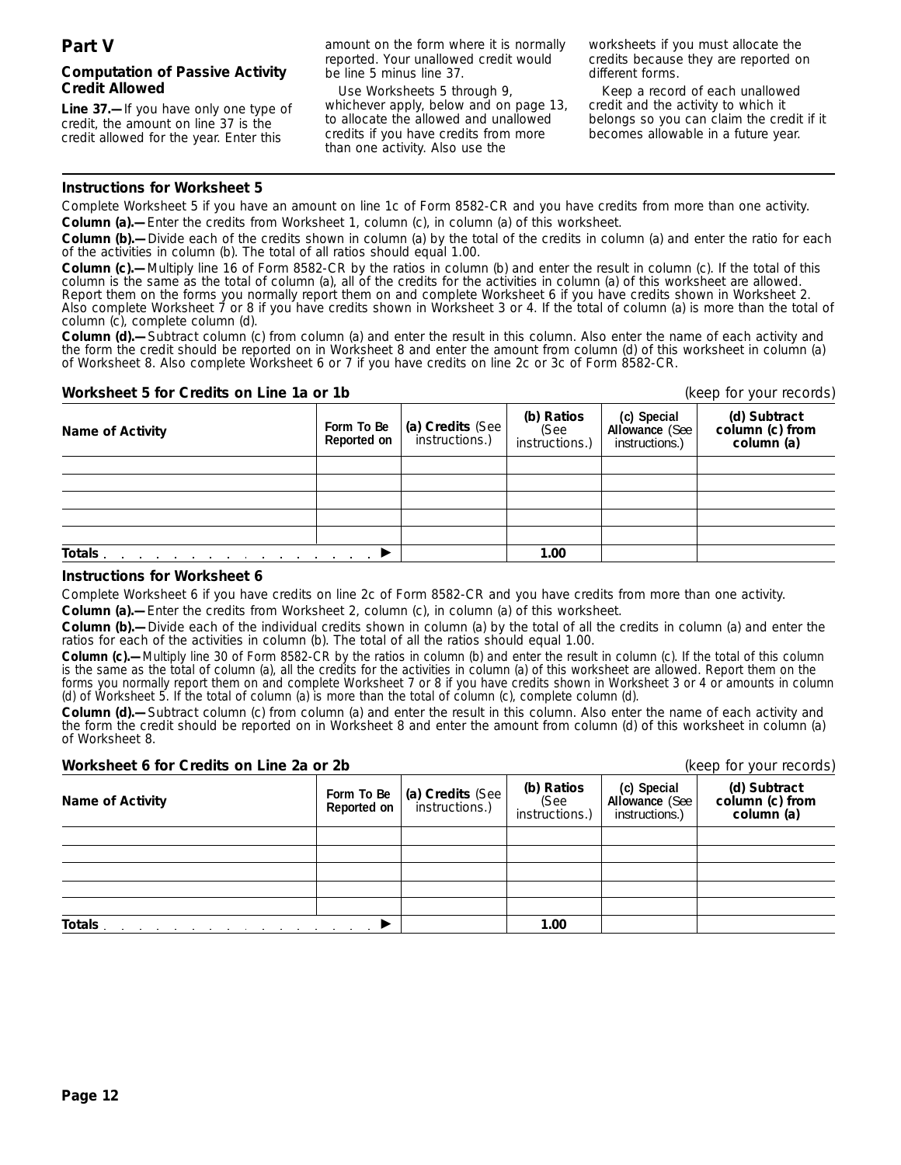# **Computation of Passive Activity Credit Allowed**

**Line 37.—**If you have only one type of credit, the amount on line 37 is the credit allowed for the year. Enter this

amount on the form where it is normally reported. Your unallowed credit would be line 5 minus line 37.

Use Worksheets 5 through 9, whichever apply, below and on page 13, to allocate the allowed and unallowed credits if you have credits from more than one activity. Also use the

worksheets if you must allocate the credits because they are reported on different forms.

Keep a record of each unallowed credit and the activity to which it belongs so you can claim the credit if it becomes allowable in a future year.

# **Instructions for Worksheet 5**

Complete Worksheet 5 if you have an amount on line 1c of Form 8582-CR and you have credits from more than one activity. **Column (a).—**Enter the credits from Worksheet 1, column (c), in column (a) of this worksheet.

**Column (b).—**Divide each of the credits shown in column (a) by the total of the credits in column (a) and enter the ratio for each of the activities in column (b). The total of all ratios should equal 1.00.

**Column (c).—**Multiply line 16 of Form 8582-CR by the ratios in column (b) and enter the result in column (c). If the total of this column is the same as the total of column (a), all of the credits for the activities in column (a) of this worksheet are allowed. Report them on the forms you normally report them on and complete Worksheet 6 if you have credits shown in Worksheet 2. Also complete Worksheet 7 or 8 if you have credits shown in Worksheet 3 or 4. If the total of column (a) is more than the total of column (c), complete column (d).

**Column (d).—**Subtract column (c) from column (a) and enter the result in this column. Also enter the name of each activity and the form the credit should be reported on in Worksheet 8 and enter the amount from column (d) of this worksheet in column (a) of Worksheet 8. Also complete Worksheet 6 or 7 if you have credits on line 2c or 3c of Form 8582-CR.

# **Worksheet 5 for Credits on Line 1a or 1b** (keep for your records)

| <b>Name of Activity</b>                                                                                                                                                                                                        | Form To Be<br>Reported on | $\vert$ (a) Credits (See $\vert$<br>instructions.) | (b) Ratios<br>(See<br>instructions.) | (c) Special<br>Allowance (See<br>instructions.) | (d) Subtract<br>column (c) from<br>column (a) |
|--------------------------------------------------------------------------------------------------------------------------------------------------------------------------------------------------------------------------------|---------------------------|----------------------------------------------------|--------------------------------------|-------------------------------------------------|-----------------------------------------------|
|                                                                                                                                                                                                                                |                           |                                                    |                                      |                                                 |                                               |
|                                                                                                                                                                                                                                |                           |                                                    |                                      |                                                 |                                               |
|                                                                                                                                                                                                                                |                           |                                                    |                                      |                                                 |                                               |
|                                                                                                                                                                                                                                |                           |                                                    |                                      |                                                 |                                               |
|                                                                                                                                                                                                                                |                           |                                                    |                                      |                                                 |                                               |
| Totals and the set of the set of the set of the set of the set of the set of the set of the set of the set of the set of the set of the set of the set of the set of the set of the set of the set of the set of the set of th |                           |                                                    | 1.00                                 |                                                 |                                               |

## **Instructions for Worksheet 6**

Complete Worksheet 6 if you have credits on line 2c of Form 8582-CR and you have credits from more than one activity.

**Column (a).—**Enter the credits from Worksheet 2, column (c), in column (a) of this worksheet.

**Column (b).—**Divide each of the individual credits shown in column (a) by the total of all the credits in column (a) and enter the ratios for each of the activities in column (b). The total of all the ratios should equal 1.00.

**Column (c).—**Multiply line 30 of Form 8582-CR by the ratios in column (b) and enter the result in column (c). If the total of this column is the same as the total of column (a), all the credits for the activities in column (a) of this worksheet are allowed. Report them on the forms you normally report them on and complete Worksheet 7 or 8 if you have credits shown in Worksheet 3 or 4 or amounts in column (d) of Worksheet 5. If the total of column (a) is more than the total of column (c), complete column (d).

**Column (d).—**Subtract column (c) from column (a) and enter the result in this column. Also enter the name of each activity and the form the credit should be reported on in Worksheet 8 and enter the amount from column (d) of this worksheet in column (a) of Worksheet 8.

#### **Worksheet 6 for Credits on Line 2a or 2b (keep for your records)** (keep for your records)

| $(100)$ $(01)$ $(001)$ $(000)$ |                           |                                                    |                                      |                                                        |                                               |  |
|--------------------------------|---------------------------|----------------------------------------------------|--------------------------------------|--------------------------------------------------------|-----------------------------------------------|--|
| Name of Activity               | Form To Be<br>Reported on | $\vert$ (a) Credits (See $\vert$<br>instructions.) | (b) Ratios<br>(See<br>instructions.) | (c) Special<br><b>Allowance (See</b><br>instructions.) | (d) Subtract<br>column (c) from<br>column (a) |  |
|                                |                           |                                                    |                                      |                                                        |                                               |  |
|                                |                           |                                                    |                                      |                                                        |                                               |  |
|                                |                           |                                                    |                                      |                                                        |                                               |  |
|                                |                           |                                                    |                                      |                                                        |                                               |  |
|                                |                           |                                                    |                                      |                                                        |                                               |  |
| Totals                         |                           |                                                    | 1.00                                 |                                                        |                                               |  |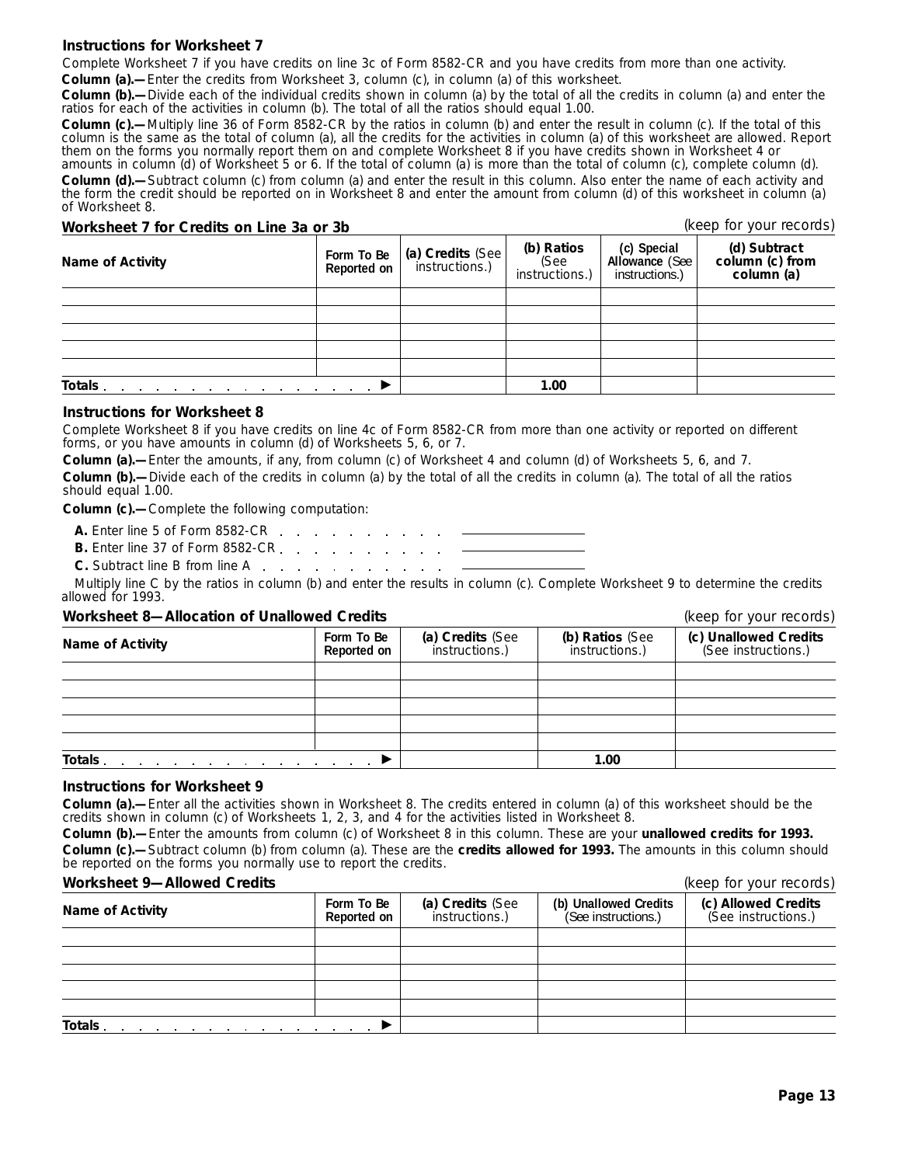# **Instructions for Worksheet 7**

Complete Worksheet 7 if you have credits on line 3c of Form 8582-CR and you have credits from more than one activity. **Column (a).—**Enter the credits from Worksheet 3, column (c), in column (a) of this worksheet.

**Column (b).—**Divide each of the individual credits shown in column (a) by the total of all the credits in column (a) and enter the ratios for each of the activities in column (b). The total of all the ratios should equal 1.00.

**Column (c).—**Multiply line 36 of Form 8582-CR by the ratios in column (b) and enter the result in column (c). If the total of this column is the same as the total of column (a), all the credits for the activities in column (a) of this worksheet are allowed. Report them on the forms you normally report them on and complete Worksheet 8 if you have credits shown in Worksheet 4 or amounts in column (d) of Worksheet 5 or 6. If the total of column (a) is more than the total of column (c), complete column (d).

**Column (d).—**Subtract column (c) from column (a) and enter the result in this column. Also enter the name of each activity and the form the credit should be reported on in Worksheet 8 and enter the amount from column (d) of this worksheet in column (a) of Worksheet 8.

# **Worksheet 7 for Credits on Line 3a or 3b** (keep for your records)

| <b>Name of Activity</b>                                                    | Form To Be<br>Reported on | (a) Credits (See | (b) Ratios<br>(See<br>instructions.) | (c) Special<br>Allowance (See<br>instructions.) | (d) Subtract<br>column (c) from<br>column (a) |
|----------------------------------------------------------------------------|---------------------------|------------------|--------------------------------------|-------------------------------------------------|-----------------------------------------------|
|                                                                            |                           |                  |                                      |                                                 |                                               |
|                                                                            |                           |                  |                                      |                                                 |                                               |
|                                                                            |                           |                  |                                      |                                                 |                                               |
|                                                                            |                           |                  |                                      |                                                 |                                               |
|                                                                            |                           |                  |                                      |                                                 |                                               |
| Totals.<br>the contract of the contract of the contract of the contract of |                           |                  | 1.00                                 |                                                 |                                               |

#### **Instructions for Worksheet 8**

Complete Worksheet 8 if you have credits on line 4c of Form 8582-CR from more than one activity or reported on different forms, or you have amounts in column (d) of Worksheets 5, 6, or 7.

**Column (a).—**Enter the amounts, if any, from column (c) of Worksheet 4 and column (d) of Worksheets 5, 6, and 7. **Column (b).—**Divide each of the credits in column (a) by the total of all the credits in column (a). The total of all the ratios should equal 1.00.

**Column (c).—**Complete the following computation:

**A.** Enter line 5 of Form 8582-CR

**B.** Enter line 37 of Form 8582-CR. . . . . . . .

**C.** Subtract line B from line A

Multiply line C by the ratios in column (b) and enter the results in column (c). Complete Worksheet 9 to determine the credits allowed for 1993.

#### **Worksheet 8—Allocation of Unallowed Credits** (keep for your records)

**(c) Unallowed Credits** (See instructions.) **(b) Ratios** (See instructions.) **(a) Credits** (See instructions.) **Form To Be Name of Activity Totals** © **1.00**

#### **Instructions for Worksheet 9**

**Column (a).—**Enter all the activities shown in Worksheet 8. The credits entered in column (a) of this worksheet should be the credits shown in column (c) of Worksheets 1, 2, 3, and 4 for the activities listed in Worksheet 8.

**Column (b).—**Enter the amounts from column (c) of Worksheet 8 in this column. These are your **unallowed credits for 1993. Column (c).—**Subtract column (b) from column (a). These are the **credits allowed for 1993.** The amounts in this column should be reported on the forms you normally use to report the credits.

#### **Worksheet 9—Allowed Credits** (keep for your records)

|                                                                           | $1000$ $\mu$ $101$ $\mu$ $000$ $\mu$ $1000$ |                                    |                                              |                                            |
|---------------------------------------------------------------------------|---------------------------------------------|------------------------------------|----------------------------------------------|--------------------------------------------|
| <b>Name of Activity</b>                                                   | Form To Be<br>Reported on                   | (a) Credits (See<br>instructions.) | (b) Unallowed Credits<br>(See instructions.) | (c) Allowed Credits<br>(See instructions.) |
|                                                                           |                                             |                                    |                                              |                                            |
|                                                                           |                                             |                                    |                                              |                                            |
|                                                                           |                                             |                                    |                                              |                                            |
|                                                                           |                                             |                                    |                                              |                                            |
|                                                                           |                                             |                                    |                                              |                                            |
| Totals<br>the contract of the contract of the contract of the contract of |                                             |                                    |                                              |                                            |